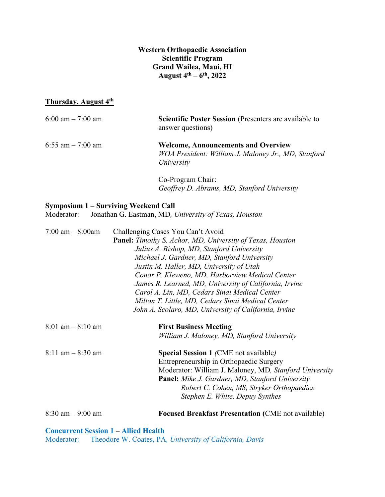**Western Orthopaedic Association Scientific Program Grand Wailea, Maui, HI August 4th – 6 th, 2022**

#### **Thursday, August 4th**

| 6:00 am $-7:00$ am | <b>Scientific Poster Session</b> (Presenters are available to<br>answer questions)                              |
|--------------------|-----------------------------------------------------------------------------------------------------------------|
| 6:55 am $-7:00$ am | <b>Welcome, Announcements and Overview</b><br>WOA President: William J. Maloney Jr., MD, Stanford<br>University |
|                    | Co-Program Chair:<br>Geoffrey D. Abrams, MD, Stanford University                                                |

#### **Symposium 1 – Surviving Weekend Call**

Moderator: Jonathan G. Eastman, MD*, University of Texas, Houston*

| 7:00 am $-$ 8:00am                  | Challenging Cases You Can't Avoid                                |
|-------------------------------------|------------------------------------------------------------------|
|                                     | <b>Panel:</b> Timothy S. Achor, MD, University of Texas, Houston |
|                                     | Julius A. Bishop, MD, Stanford University                        |
|                                     | Michael J. Gardner, MD, Stanford University                      |
|                                     | Justin M. Haller, MD, University of Utah                         |
|                                     | Conor P. Kleweno, MD, Harborview Medical Center                  |
|                                     | James R. Learned, MD, University of California, Irvine           |
|                                     | Carol A. Lin, MD, Cedars Sinai Medical Center                    |
|                                     | Milton T. Little, MD, Cedars Sinai Medical Center                |
|                                     | John A. Scolaro, MD, University of California, Irvine            |
| $8:01 \text{ am} - 8:10 \text{ am}$ | <b>First Business Meeting</b>                                    |
|                                     | William J. Maloney, MD, Stanford University                      |
| $8:11$ am $-8:30$ am                | <b>Special Session 1 (CME not available)</b>                     |
|                                     | Entrepreneurship in Orthopaedic Surgery                          |
|                                     | Moderator: William J. Maloney, MD, Stanford University           |
|                                     | <b>Panel:</b> Mike J. Gardner, MD, Stanford University           |
|                                     | Robert C. Cohen, MS, Stryker Orthopaedics                        |
|                                     | Stephen E. White, Depuy Synthes                                  |
| $8:30$ am $-9:00$ am                | <b>Focused Breakfast Presentation (CME not available)</b>        |
|                                     |                                                                  |

**Concurrent Session 1 – Allied Health**

Moderator: Theodore W. Coates, PA*, University of California, Davis*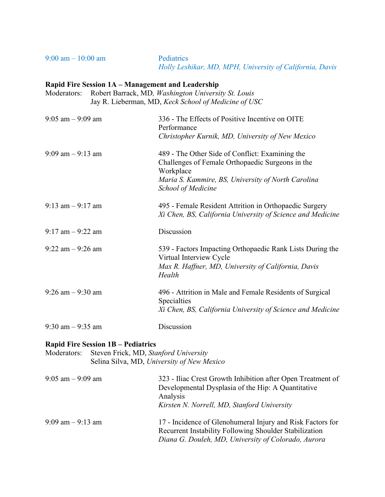9:00 am – 10:00 am Pediatrics

*Holly Leshikar, MD, MPH, University of California, Davis*

#### **Rapid Fire Session 1A – Management and Leadership**

Moderators: Robert Barrack, MD*, Washington University St. Louis* Jay R. Lieberman, MD, *Keck School of Medicine of USC*

| $9:05$ am $-9:09$ am | 336 - The Effects of Positive Incentive on OITE<br>Performance<br>Christopher Kurnik, MD, University of New Mexico                                                                           |
|----------------------|----------------------------------------------------------------------------------------------------------------------------------------------------------------------------------------------|
| $9:09$ am $-9:13$ am | 489 - The Other Side of Conflict: Examining the<br>Challenges of Female Orthopaedic Surgeons in the<br>Workplace<br>Maria S. Kammire, BS, University of North Carolina<br>School of Medicine |
| $9:13$ am $-9:17$ am | 495 - Female Resident Attrition in Orthopaedic Surgery<br>Xi Chen, BS, California University of Science and Medicine                                                                         |
| $9:17$ am $-9:22$ am | Discussion                                                                                                                                                                                   |
| $9:22$ am $-9:26$ am | 539 - Factors Impacting Orthopaedic Rank Lists During the<br>Virtual Interview Cycle<br>Max R. Haffner, MD, University of California, Davis<br>Health                                        |
| $9:26$ am $-9:30$ am | 496 - Attrition in Male and Female Residents of Surgical<br>Specialties<br>Xi Chen, BS, California University of Science and Medicine                                                        |
| $9:30$ am $-9:35$ am | Discussion                                                                                                                                                                                   |

#### **Rapid Fire Session 1B – Pediatrics**

Moderators: Steven Frick, MD, *Stanford University* Selina Silva, MD, *University of New Mexico*

| $9:05$ am $-9:09$ am | 323 - Iliac Crest Growth Inhibition after Open Treatment of<br>Developmental Dysplasia of the Hip: A Quantitative<br>Analysis<br>Kirsten N. Norrell, MD, Stanford University |
|----------------------|------------------------------------------------------------------------------------------------------------------------------------------------------------------------------|
| $9:09$ am $-9:13$ am | 17 - Incidence of Glenohumeral Injury and Risk Factors for<br>Recurrent Instability Following Shoulder Stabilization<br>Diana G. Douleh, MD, University of Colorado, Aurora  |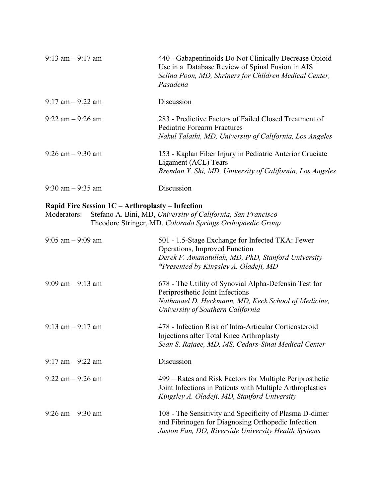| $9:13$ am $-9:17$ am | 440 - Gabapentinoids Do Not Clinically Decrease Opioid<br>Use in a Database Review of Spinal Fusion in AIS<br>Selina Poon, MD, Shriners for Children Medical Center,<br>Pasadena |
|----------------------|----------------------------------------------------------------------------------------------------------------------------------------------------------------------------------|
| $9:17$ am $-9:22$ am | Discussion                                                                                                                                                                       |
| $9:22$ am $-9:26$ am | 283 - Predictive Factors of Failed Closed Treatment of<br>Pediatric Forearm Fractures<br>Nakul Talathi, MD, University of California, Los Angeles                                |
| $9:26$ am $-9:30$ am | 153 - Kaplan Fiber Injury in Pediatric Anterior Cruciate<br>Ligament (ACL) Tears<br>Brendan Y. Shi, MD, University of California, Los Angeles                                    |
| $9:30$ am $-9:35$ am | Discussion                                                                                                                                                                       |

# **Rapid Fire Session 1C – Arthroplasty – Infection**

Moderators: Stefano A. Bini, MD, *University of California, San Francisco* Theodore Stringer, MD, *Colorado Springs Orthopaedic Group*

| $9:05$ am $-9:09$ am | 501 - 1.5-Stage Exchange for Infected TKA: Fewer<br>Operations, Improved Function<br>Derek F. Amanatullah, MD, PhD, Stanford University<br>*Presented by Kingsley A. Oladeji, MD     |
|----------------------|--------------------------------------------------------------------------------------------------------------------------------------------------------------------------------------|
| $9:09$ am $-9:13$ am | 678 - The Utility of Synovial Alpha-Defensin Test for<br>Periprosthetic Joint Infections<br>Nathanael D. Heckmann, MD, Keck School of Medicine,<br>University of Southern California |
| $9:13$ am $-9:17$ am | 478 - Infection Risk of Intra-Articular Corticosteroid<br>Injections after Total Knee Arthroplasty<br>Sean S. Rajaee, MD, MS, Cedars-Sinai Medical Center                            |
| $9:17$ am $-9:22$ am | Discussion                                                                                                                                                                           |
| $9:22$ am $-9:26$ am | 499 – Rates and Risk Factors for Multiple Periprosthetic<br>Joint Infections in Patients with Multiple Arthroplasties<br>Kingsley A. Oladeji, MD, Stanford University                |
| $9:26$ am $-9:30$ am | 108 - The Sensitivity and Specificity of Plasma D-dimer<br>and Fibrinogen for Diagnosing Orthopedic Infection<br>Juston Fan, DO, Riverside University Health Systems                 |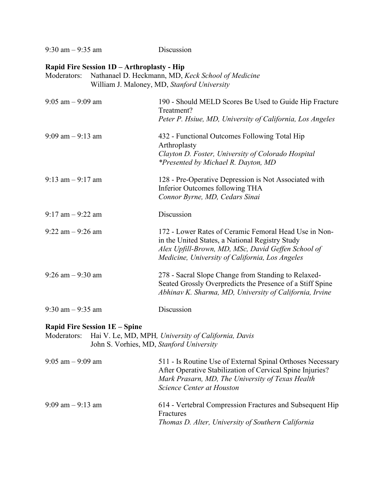9:30 am – 9:35 am Discussion

## **Rapid Fire Session 1D – Arthroplasty - Hip**

Moderators: Nathanael D. Heckmann, MD, *Keck School of Medicine* William J. Maloney, MD, *Stanford University*

| $9:05$ am $-9:09$ am | 190 - Should MELD Scores Be Used to Guide Hip Fracture<br>Treatment?<br>Peter P. Hsiue, MD, University of California, Los Angeles                                                                                 |
|----------------------|-------------------------------------------------------------------------------------------------------------------------------------------------------------------------------------------------------------------|
| $9:09$ am $-9:13$ am | 432 - Functional Outcomes Following Total Hip<br>Arthroplasty<br>Clayton D. Foster, University of Colorado Hospital<br>*Presented by Michael R. Dayton, MD                                                        |
| $9:13$ am $-9:17$ am | 128 - Pre-Operative Depression is Not Associated with<br>Inferior Outcomes following THA<br>Connor Byrne, MD, Cedars Sinai                                                                                        |
| $9:17$ am $-9:22$ am | Discussion                                                                                                                                                                                                        |
| $9:22$ am $-9:26$ am | 172 - Lower Rates of Ceramic Femoral Head Use in Non-<br>in the United States, a National Registry Study<br>Alex Upfill-Brown, MD, MSc, David Geffen School of<br>Medicine, University of California, Los Angeles |
| $9:26$ am $-9:30$ am | 278 - Sacral Slope Change from Standing to Relaxed-<br>Seated Grossly Overpredicts the Presence of a Stiff Spine<br>Abhinav K. Sharma, MD, University of California, Irvine                                       |
| $9:30$ am $-9:35$ am | Discussion                                                                                                                                                                                                        |

## **Rapid Fire Session 1E – Spine**

| Moderators: Hai V. Le, MD, MPH, University of California, Davis |
|-----------------------------------------------------------------|
| John S. Vorhies, MD, Stanford University                        |

| $9:05$ am $-9:09$ am | 511 - Is Routine Use of External Spinal Orthoses Necessary<br>After Operative Stabilization of Cervical Spine Injuries?<br>Mark Prasarn, MD, The University of Texas Health<br>Science Center at Houston |
|----------------------|----------------------------------------------------------------------------------------------------------------------------------------------------------------------------------------------------------|
| $9:09$ am $-9:13$ am | 614 - Vertebral Compression Fractures and Subsequent Hip<br>Fractures<br>Thomas D. Alter, University of Southern California                                                                              |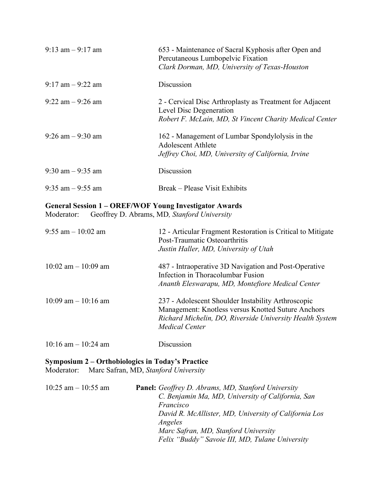| $9:13$ am $-9:17$ am | 653 - Maintenance of Sacral Kyphosis after Open and<br>Percutaneous Lumbopelvic Fixation<br>Clark Dorman, MD, University of Texas-Houston      |
|----------------------|------------------------------------------------------------------------------------------------------------------------------------------------|
| $9:17$ am $-9:22$ am | Discussion                                                                                                                                     |
| $9:22$ am $-9:26$ am | 2 - Cervical Disc Arthroplasty as Treatment for Adjacent<br>Level Disc Degeneration<br>Robert F. McLain, MD, St Vincent Charity Medical Center |
| $9:26$ am $-9:30$ am | 162 - Management of Lumbar Spondylolysis in the<br><b>Adolescent Athlete</b><br>Jeffrey Choi, MD, University of California, Irvine             |
| $9:30$ am $-9:35$ am | Discussion                                                                                                                                     |
| $9:35$ am $-9:55$ am | Break – Please Visit Exhibits                                                                                                                  |

# **General Session 1 – OREF/WOF Young Investigator Awards**

Moderator: Geoffrey D. Abrams, MD*, Stanford University*

| $9:55$ am $-10:02$ am   | 12 - Articular Fragment Restoration is Critical to Mitigate<br>Post-Traumatic Osteoarthritis<br>Justin Haller, MD, University of Utah                                                         |
|-------------------------|-----------------------------------------------------------------------------------------------------------------------------------------------------------------------------------------------|
| $10:02$ am $-10:09$ am  | 487 - Intraoperative 3D Navigation and Post-Operative<br>Infection in Thoracolumbar Fusion<br>Ananth Eleswarapu, MD, Montefiore Medical Center                                                |
| $10:09$ am $-10:16$ am  | 237 - Adolescent Shoulder Instability Arthroscopic<br>Management: Knotless versus Knotted Suture Anchors<br>Richard Michelin, DO, Riverside University Health System<br><b>Medical Center</b> |
| $10:16$ am $- 10:24$ am | Discussion                                                                                                                                                                                    |

## **Symposium 2 – Orthobiologics in Today's Practice** Moderator: Marc Safran, MD, *Stanford University*

| $10:25$ am $-10:55$ am | <b>Panel:</b> Geoffrey D. Abrams, MD, Stanford University |
|------------------------|-----------------------------------------------------------|
|                        | C. Benjamin Ma, MD, University of California, San         |
|                        | Francisco                                                 |
|                        | David R. McAllister, MD, University of California Los     |
|                        | Angeles                                                   |
|                        | Marc Safran, MD, Stanford University                      |
|                        | Felix "Buddy" Savoie III, MD, Tulane University           |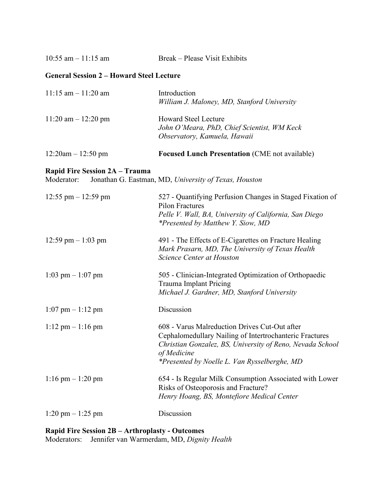$10:55$  am  $-11:15$  am Break – Please Visit Exhibits

#### **General Session 2 – Howard Steel Lecture**

| $11:15$ am $-11:20$ am | Introduction<br>William J. Maloney, MD, Stanford University                                                |
|------------------------|------------------------------------------------------------------------------------------------------------|
| $11:20$ am $-12:20$ pm | <b>Howard Steel Lecture</b><br>John O'Meara, PhD, Chief Scientist, WM Keck<br>Observatory, Kamuela, Hawaii |
| $12:20am - 12:50 pm$   | <b>Focused Lunch Presentation (CME not available)</b>                                                      |

#### **Rapid Fire Session 2A – Trauma**

Moderator: Jonathan G. Eastman, MD, *University of Texas, Houston*

| $12:55$ pm $-12:59$ pm              | 527 - Quantifying Perfusion Changes in Staged Fixation of<br><b>Pilon Fractures</b><br>Pelle V. Wall, BA, University of California, San Diego<br><i>*Presented by Matthew Y. Siow, MD</i>                                            |
|-------------------------------------|--------------------------------------------------------------------------------------------------------------------------------------------------------------------------------------------------------------------------------------|
| 12:59 pm $-1:03$ pm                 | 491 - The Effects of E-Cigarettes on Fracture Healing<br>Mark Prasarn, MD, The University of Texas Health<br>Science Center at Houston                                                                                               |
| $1:03$ pm $-1:07$ pm                | 505 - Clinician-Integrated Optimization of Orthopaedic<br><b>Trauma Implant Pricing</b><br>Michael J. Gardner, MD, Stanford University                                                                                               |
| $1:07$ pm $-1:12$ pm                | Discussion                                                                                                                                                                                                                           |
| $1:12 \text{ pm} - 1:16 \text{ pm}$ | 608 - Varus Malreduction Drives Cut-Out after<br>Cephalomedullary Nailing of Intertrochanteric Fractures<br>Christian Gonzalez, BS, University of Reno, Nevada School<br>of Medicine<br>*Presented by Noelle L. Van Rysselberghe, MD |
| $1:16$ pm $- 1:20$ pm               | 654 - Is Regular Milk Consumption Associated with Lower<br>Risks of Osteoporosis and Fracture?<br>Henry Hoang, BS, Montefiore Medical Center                                                                                         |
| $1:20 \text{ pm} - 1:25 \text{ pm}$ | Discussion                                                                                                                                                                                                                           |

**Rapid Fire Session 2B – Arthroplasty - Outcomes** Moderators: Jennifer van Warmerdam, MD, *Dignity Health*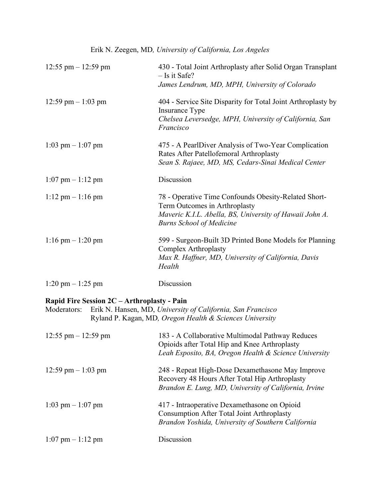| 12:55 pm $-$ 12:59 pm                                                                                                                                                                 | 430 - Total Joint Arthroplasty after Solid Organ Transplant<br>$-$ Is it Safe?<br>James Lendrum, MD, MPH, University of Colorado                                                    |  |
|---------------------------------------------------------------------------------------------------------------------------------------------------------------------------------------|-------------------------------------------------------------------------------------------------------------------------------------------------------------------------------------|--|
| 12:59 pm $-1:03$ pm                                                                                                                                                                   | 404 - Service Site Disparity for Total Joint Arthroplasty by<br>Insurance Type<br>Chelsea Leversedge, MPH, University of California, San<br>Francisco                               |  |
| $1:03$ pm $-1:07$ pm                                                                                                                                                                  | 475 - A PearlDiver Analysis of Two-Year Complication<br>Rates After Patellofemoral Arthroplasty<br>Sean S. Rajaee, MD, MS, Cedars-Sinai Medical Center                              |  |
| $1:07$ pm $-1:12$ pm                                                                                                                                                                  | Discussion                                                                                                                                                                          |  |
| $1:12 \text{ pm} - 1:16 \text{ pm}$                                                                                                                                                   | 78 - Operative Time Confounds Obesity-Related Short-<br>Term Outcomes in Arthroplasty<br>Maveric K.I.L. Abella, BS, University of Hawaii John A.<br><b>Burns School of Medicine</b> |  |
| $1:16$ pm $- 1:20$ pm                                                                                                                                                                 | 599 - Surgeon-Built 3D Printed Bone Models for Planning<br><b>Complex Arthroplasty</b><br>Max R. Haffner, MD, University of California, Davis<br>Health                             |  |
| $1:20 \text{ pm} - 1:25 \text{ pm}$                                                                                                                                                   | Discussion                                                                                                                                                                          |  |
| Rapid Fire Session 2C - Arthroplasty - Pain<br>Erik N. Hansen, MD, University of California, San Francisco<br>Moderators:<br>Ryland P. Kagan, MD, Oregon Health & Sciences University |                                                                                                                                                                                     |  |
| 12:55 pm $-$ 12:59 pm                                                                                                                                                                 | 183 - A Collaborative Multimodal Pathway Reduces<br>Opioids after Total Hip and Knee Arthroplasty<br>Leah Esposito, BA, Oregon Health & Science University                          |  |
| 12:59 pm $-1:03$ pm                                                                                                                                                                   | 248 - Repeat High-Dose Dexamethasone May Improve                                                                                                                                    |  |

|                      | Brandon E. Lung, MD, University of California, Irvine |
|----------------------|-------------------------------------------------------|
| $1:03$ pm $-1:07$ pm | 417 - Intraoperative Dexamethasone on Opioid          |
|                      | <b>Consumption After Total Joint Arthroplasty</b>     |
|                      | Brandon Yoshida, University of Southern California    |

Recovery 48 Hours After Total Hip Arthroplasty

 $1:07$  pm –  $1:12$  pm Discussion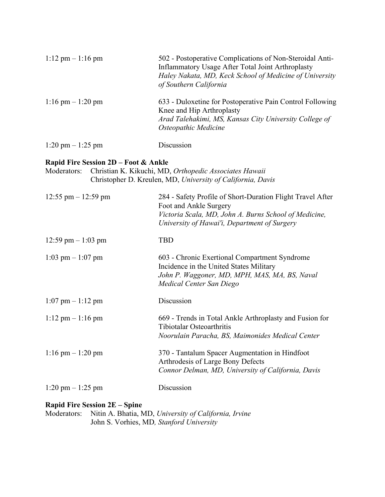| $1:12 \text{ pm} - 1:16 \text{ pm}$ | 502 - Postoperative Complications of Non-Steroidal Anti-<br><b>Inflammatory Usage After Total Joint Arthroplasty</b><br>Haley Nakata, MD, Keck School of Medicine of University<br>of Southern California |
|-------------------------------------|-----------------------------------------------------------------------------------------------------------------------------------------------------------------------------------------------------------|
| $1:16$ pm $-1:20$ pm                | 633 - Duloxetine for Postoperative Pain Control Following<br>Knee and Hip Arthroplasty<br>Arad Talehakimi, MS, Kansas City University College of<br>Osteopathic Medicine                                  |
| $1:20 \text{ pm} - 1:25 \text{ pm}$ | Discussion                                                                                                                                                                                                |

#### **Rapid Fire Session 2D – Foot & Ankle**

| Moderators: Christian K. Kikuchi, MD, Orthopedic Associates Hawaii |
|--------------------------------------------------------------------|
| Christopher D. Kreulen, MD, University of California, Davis        |

| $12:55$ pm $-12:59$ pm              | 284 - Safety Profile of Short-Duration Flight Travel After<br>Foot and Ankle Surgery<br>Victoria Scala, MD, John A. Burns School of Medicine,<br>University of Hawai'i, Department of Surgery |
|-------------------------------------|-----------------------------------------------------------------------------------------------------------------------------------------------------------------------------------------------|
| 12:59 pm $-1:03$ pm                 | <b>TBD</b>                                                                                                                                                                                    |
| $1:03$ pm $-1:07$ pm                | 603 - Chronic Exertional Compartment Syndrome<br>Incidence in the United States Military<br>John P. Waggoner, MD, MPH, MAS, MA, BS, Naval<br>Medical Center San Diego                         |
| $1:07$ pm $-1:12$ pm                | Discussion                                                                                                                                                                                    |
| $1:12 \text{ pm} - 1:16 \text{ pm}$ | 669 - Trends in Total Ankle Arthroplasty and Fusion for<br>Tibiotalar Osteoarthritis<br>Noorulain Paracha, BS, Maimonides Medical Center                                                      |
| $1:16$ pm $-1:20$ pm                | 370 - Tantalum Spacer Augmentation in Hindfoot<br>Arthrodesis of Large Bony Defects<br>Connor Delman, MD, University of California, Davis                                                     |
| $1:20 \text{ pm} - 1:25 \text{ pm}$ | Discussion                                                                                                                                                                                    |

#### **Rapid Fire Session 2E – Spine**

Moderators: Nitin A. Bhatia, MD, *University of California, Irvine* John S. Vorhies, MD*, Stanford University*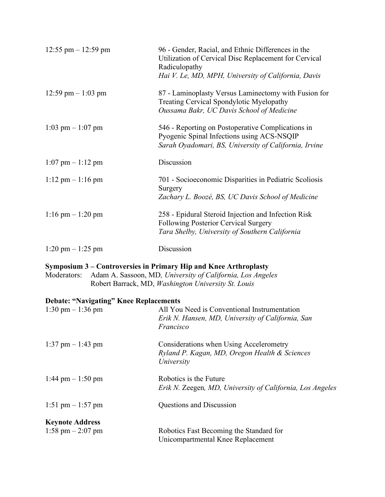| $12:55$ pm $- 12:59$ pm             | 96 - Gender, Racial, and Ethnic Differences in the<br>Utilization of Cervical Disc Replacement for Cervical<br>Radiculopathy<br>Hai V. Le, MD, MPH, University of California, Davis |
|-------------------------------------|-------------------------------------------------------------------------------------------------------------------------------------------------------------------------------------|
| 12:59 pm $-1:03$ pm                 | 87 - Laminoplasty Versus Laminectomy with Fusion for<br>Treating Cervical Spondylotic Myelopathy<br>Oussama Bakr, UC Davis School of Medicine                                       |
| $1:03$ pm $-1:07$ pm                | 546 - Reporting on Postoperative Complications in<br>Pyogenic Spinal Infections using ACS-NSQIP<br>Sarah Oyadomari, BS, University of California, Irvine                            |
| $1:07$ pm $-1:12$ pm                | Discussion                                                                                                                                                                          |
| $1:12 \text{ pm} - 1:16 \text{ pm}$ | 701 - Socioeconomic Disparities in Pediatric Scoliosis<br>Surgery<br>Zachary L. Boozé, BS, UC Davis School of Medicine                                                              |
| $1:16$ pm $-1:20$ pm                | 258 - Epidural Steroid Injection and Infection Risk<br>Following Posterior Cervical Surgery<br>Tara Shelby, University of Southern California                                       |
| $1:20 \text{ pm} - 1:25 \text{ pm}$ | Discussion                                                                                                                                                                          |

## **Symposium 3 – Controversies in Primary Hip and Knee Arthroplasty**

Moderators: Adam A. Sassoon, MD*, University of California, Los Angeles* Robert Barrack, MD, *Washington University St. Louis*

## **Debate: "Navigating" Knee Replacements**

| $1:30 \text{ pm} - 1:36 \text{ pm}$           | All You Need is Conventional Instrumentation<br>Erik N. Hansen, MD, University of California, San<br>Francisco |
|-----------------------------------------------|----------------------------------------------------------------------------------------------------------------|
| $1:37$ pm $-1:43$ pm                          | Considerations when Using Accelerometry<br>Ryland P. Kagan, MD, Oregon Health & Sciences<br>University         |
| $1:44$ pm $-1:50$ pm                          | Robotics is the Future<br>Erik N. Zeegen, MD, University of California, Los Angeles                            |
| 1:51 pm $-1:57$ pm                            | Questions and Discussion                                                                                       |
| <b>Keynote Address</b><br>1:58 pm $-$ 2:07 pm | Robotics Fast Becoming the Standard for<br>Unicompartmental Knee Replacement                                   |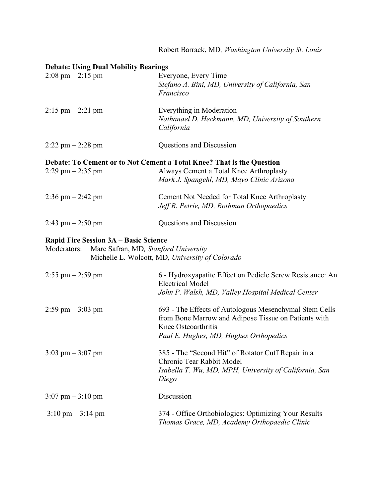|                                                                                                     | Robert Barrack, MD, Washington University St. Louis                                                                                                                             |
|-----------------------------------------------------------------------------------------------------|---------------------------------------------------------------------------------------------------------------------------------------------------------------------------------|
| <b>Debate: Using Dual Mobility Bearings</b><br>$2:08 \text{ pm} - 2:15 \text{ pm}$                  | Everyone, Every Time<br>Stefano A. Bini, MD, University of California, San<br>Francisco                                                                                         |
| $2:15 \text{ pm} - 2:21 \text{ pm}$                                                                 | Everything in Moderation<br>Nathanael D. Heckmann, MD, University of Southern<br>California                                                                                     |
| $2:22$ pm $-2:28$ pm                                                                                | Questions and Discussion                                                                                                                                                        |
| $2:29$ pm $-2:35$ pm                                                                                | Debate: To Cement or to Not Cement a Total Knee? That is the Question<br>Always Cement a Total Knee Arthroplasty<br>Mark J. Spangehl, MD, Mayo Clinic Arizona                   |
| $2:36$ pm $- 2:42$ pm                                                                               | Cement Not Needed for Total Knee Arthroplasty<br>Jeff R. Petrie, MD, Rothman Orthopaedics                                                                                       |
| $2:43$ pm $-2:50$ pm                                                                                | Questions and Discussion                                                                                                                                                        |
| <b>Rapid Fire Session 3A – Basic Science</b><br>Moderators:<br>Marc Safran, MD, Stanford University | Michelle L. Wolcott, MD, University of Colorado                                                                                                                                 |
| $2:55$ pm $-2:59$ pm                                                                                | 6 - Hydroxyapatite Effect on Pedicle Screw Resistance: An<br><b>Electrical Model</b><br>John P. Walsh, MD, Valley Hospital Medical Center                                       |
| $2:59$ pm $-3:03$ pm                                                                                | 693 - The Effects of Autologous Mesenchymal Stem Cells<br>from Bone Marrow and Adipose Tissue on Patients with<br>Knee Osteoarthritis<br>Paul E. Hughes, MD, Hughes Orthopedics |
| $3:03$ pm $-3:07$ pm                                                                                | 385 - The "Second Hit" of Rotator Cuff Repair in a<br>Chronic Tear Rabbit Model<br>Isabella T. Wu, MD, MPH, University of California, San<br>Diego                              |
| $3:07$ pm $-3:10$ pm                                                                                | Discussion                                                                                                                                                                      |
| $3:10 \text{ pm} - 3:14 \text{ pm}$                                                                 | 374 - Office Orthobiologics: Optimizing Your Results<br>Thomas Grace, MD, Academy Orthopaedic Clinic                                                                            |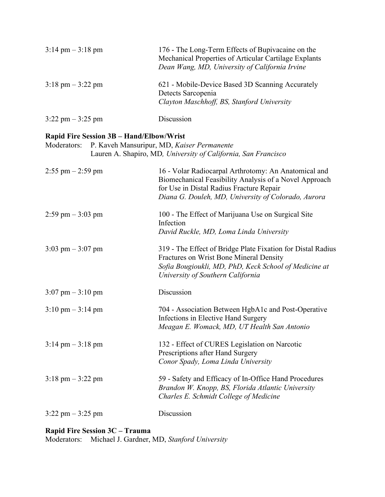| $3:14 \text{ pm} - 3:18 \text{ pm}$ | 176 - The Long-Term Effects of Bupivacaine on the<br>Mechanical Properties of Articular Cartilage Explants<br>Dean Wang, MD, University of California Irvine |
|-------------------------------------|--------------------------------------------------------------------------------------------------------------------------------------------------------------|
| $3:18 \text{ pm} - 3:22 \text{ pm}$ | 621 - Mobile-Device Based 3D Scanning Accurately<br>Detects Sarcopenia<br>Clayton Maschhoff, BS, Stanford University                                         |
| $3:22$ pm $-3:25$ pm                | Discussion                                                                                                                                                   |

#### **Rapid Fire Session 3B – Hand/Elbow/Wrist**

| Moderators:                         | P. Kaveh Mansuripur, MD, Kaiser Permanente<br>Lauren A. Shapiro, MD, University of California, San Francisco                                                                                                      |
|-------------------------------------|-------------------------------------------------------------------------------------------------------------------------------------------------------------------------------------------------------------------|
| $2:55$ pm $- 2:59$ pm               | 16 - Volar Radiocarpal Arthrotomy: An Anatomical and<br>Biomechanical Feasibility Analysis of a Novel Approach<br>for Use in Distal Radius Fracture Repair<br>Diana G. Douleh, MD, University of Colorado, Aurora |
| $2:59$ pm $-3:03$ pm                | 100 - The Effect of Marijuana Use on Surgical Site<br>Infection<br>David Ruckle, MD, Loma Linda University                                                                                                        |
| 3:03 pm $-$ 3:07 pm                 | 319 - The Effect of Bridge Plate Fixation for Distal Radius<br>Fractures on Wrist Bone Mineral Density<br>Sofia Bougioukli, MD, PhD, Keck School of Medicine at<br>University of Southern California              |
| $3:07$ pm $-3:10$ pm                | Discussion                                                                                                                                                                                                        |
| $3:10 \text{ pm} - 3:14 \text{ pm}$ | 704 - Association Between HgbA1c and Post-Operative<br>Infections in Elective Hand Surgery<br>Meagan E. Womack, MD, UT Health San Antonio                                                                         |
| $3:14 \text{ pm} - 3:18 \text{ pm}$ | 132 - Effect of CURES Legislation on Narcotic<br>Prescriptions after Hand Surgery<br>Conor Spady, Loma Linda University                                                                                           |
| $3:18$ pm $-3:22$ pm                | 59 - Safety and Efficacy of In-Office Hand Procedures<br>Brandon W. Knopp, BS, Florida Atlantic University<br>Charles E. Schmidt College of Medicine                                                              |
| $3:22$ pm $-3:25$ pm                | Discussion                                                                                                                                                                                                        |

#### **Rapid Fire Session 3C – Trauma**

Moderators: Michael J. Gardner, MD, *Stanford University*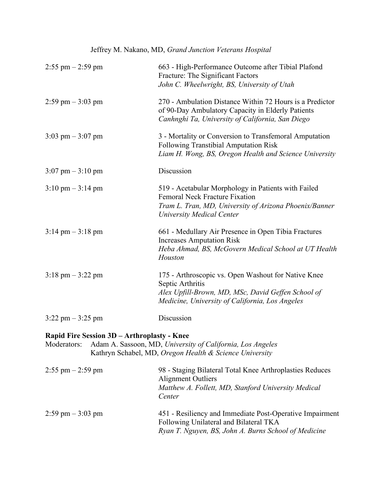# Jeffrey M. Nakano, MD, *Grand Junction Veterans Hospital*

| $2:55$ pm $-2:59$ pm                                       | 663 - High-Performance Outcome after Tibial Plafond<br>Fracture: The Significant Factors<br>John C. Wheelwright, BS, University of Utah                                                    |
|------------------------------------------------------------|--------------------------------------------------------------------------------------------------------------------------------------------------------------------------------------------|
| $2:59$ pm $-3:03$ pm                                       | 270 - Ambulation Distance Within 72 Hours is a Predictor<br>of 90-Day Ambulatory Capacity in Elderly Patients<br>Canhnghi Ta, University of California, San Diego                          |
| $3:03$ pm $-3:07$ pm                                       | 3 - Mortality or Conversion to Transfemoral Amputation<br><b>Following Transtibial Amputation Risk</b><br>Liam H. Wong, BS, Oregon Health and Science University                           |
| $3:07$ pm $-3:10$ pm                                       | Discussion                                                                                                                                                                                 |
| $3:10 \text{ pm} - 3:14 \text{ pm}$                        | 519 - Acetabular Morphology in Patients with Failed<br><b>Femoral Neck Fracture Fixation</b><br>Tram L. Tran, MD, University of Arizona Phoenix/Banner<br><b>University Medical Center</b> |
| $3:14$ pm $-3:18$ pm                                       | 661 - Medullary Air Presence in Open Tibia Fractures<br><b>Increases Amputation Risk</b><br>Heba Ahmad, BS, McGovern Medical School at UT Health<br>Houston                                |
| $3:18 \text{ pm} - 3:22 \text{ pm}$                        | 175 - Arthroscopic vs. Open Washout for Native Knee<br>Septic Arthritis<br>Alex Upfill-Brown, MD, MSc, David Geffen School of<br>Medicine, University of California, Los Angeles           |
| $3:22$ pm $-3:25$ pm                                       | Discussion                                                                                                                                                                                 |
| Rapid Fire Session 3D - Arthroplasty - Knee<br>Moderators: | Adam A. Sassoon, MD, University of California, Los Angeles<br>Kathryn Schabel, MD, Oregon Health & Science University                                                                      |

| $2:55$ pm $-2:59$ pm | 98 - Staging Bilateral Total Knee Arthroplasties Reduces<br>Alignment Outliers<br>Matthew A. Follett, MD, Stanford University Medical<br>Center            |
|----------------------|------------------------------------------------------------------------------------------------------------------------------------------------------------|
| $2:59$ pm $-3:03$ pm | 451 - Resiliency and Immediate Post-Operative Impairment<br>Following Unilateral and Bilateral TKA<br>Ryan T. Nguyen, BS, John A. Burns School of Medicine |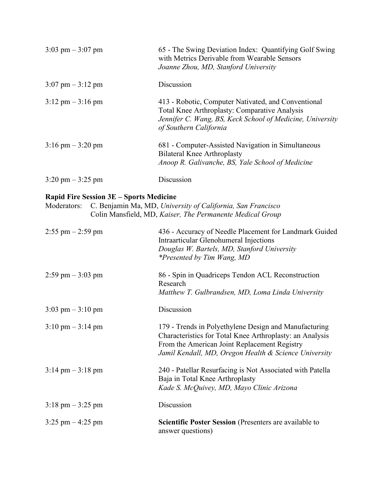| $3:03$ pm $-3:07$ pm                | 65 - The Swing Deviation Index: Quantifying Golf Swing<br>with Metrics Derivable from Wearable Sensors<br>Joanne Zhou, MD, Stanford University                                              |
|-------------------------------------|---------------------------------------------------------------------------------------------------------------------------------------------------------------------------------------------|
| $3:07 \text{ pm} - 3:12 \text{ pm}$ | Discussion                                                                                                                                                                                  |
| $3:12 \text{ pm} - 3:16 \text{ pm}$ | 413 - Robotic, Computer Nativated, and Conventional<br>Total Knee Arthroplasty: Comparative Analysis<br>Jennifer C. Wang, BS, Keck School of Medicine, University<br>of Southern California |
| $3:16$ pm $-3:20$ pm                | 681 - Computer-Assisted Navigation in Simultaneous<br><b>Bilateral Knee Arthroplasty</b><br>Anoop R. Galivanche, BS, Yale School of Medicine                                                |
| $3:20 \text{ pm} - 3:25 \text{ pm}$ | Discussion                                                                                                                                                                                  |

#### **Rapid Fire Session 3E – Sports Medicine**

Moderators: C. Benjamin Ma, MD, *University of California, San Francisco* Colin Mansfield, MD, *Kaiser, The Permanente Medical Group*

| $2:55$ pm $-2:59$ pm                | 436 - Accuracy of Needle Placement for Landmark Guided<br>Intraarticular Glenohumeral Injections<br>Douglas W. Bartels, MD, Stanford University<br><i>*Presented by Tim Wang, MD</i>                                       |
|-------------------------------------|----------------------------------------------------------------------------------------------------------------------------------------------------------------------------------------------------------------------------|
| $2:59$ pm $-3:03$ pm                | 86 - Spin in Quadriceps Tendon ACL Reconstruction<br>Research<br>Matthew T. Gulbrandsen, MD, Loma Linda University                                                                                                         |
| $3:03$ pm $-3:10$ pm                | Discussion                                                                                                                                                                                                                 |
| $3:10 \text{ pm} - 3:14 \text{ pm}$ | 179 - Trends in Polyethylene Design and Manufacturing<br>Characteristics for Total Knee Arthroplasty: an Analysis<br>From the American Joint Replacement Registry<br>Jamil Kendall, MD, Oregon Health & Science University |
| $3:14 \text{ pm} - 3:18 \text{ pm}$ | 240 - Patellar Resurfacing is Not Associated with Patella<br>Baja in Total Knee Arthroplasty<br>Kade S. McQuivey, MD, Mayo Clinic Arizona                                                                                  |
| $3:18 \text{ pm} - 3:25 \text{ pm}$ | Discussion                                                                                                                                                                                                                 |
| $3:25$ pm $-4:25$ pm                | Scientific Poster Session (Presenters are available to<br>answer questions)                                                                                                                                                |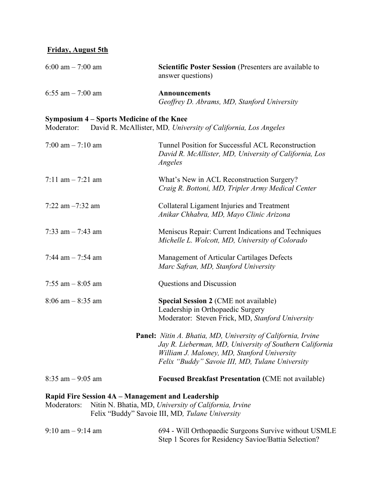#### **Friday, August 5th**

| 6:00 am $- 7:00$ am                                              | Scientific Poster Session (Presenters are available to<br>answer questions)                                                                                                                                                      |
|------------------------------------------------------------------|----------------------------------------------------------------------------------------------------------------------------------------------------------------------------------------------------------------------------------|
| 6:55 am $-7:00$ am                                               | <b>Announcements</b><br>Geoffrey D. Abrams, MD, Stanford University                                                                                                                                                              |
| Symposium 4 – Sports Medicine of the Knee<br>Moderator:          | David R. McAllister, MD, University of California, Los Angeles                                                                                                                                                                   |
| 7:00 am $-$ 7:10 am                                              | Tunnel Position for Successful ACL Reconstruction<br>David R. McAllister, MD, University of California, Los<br>Angeles                                                                                                           |
| 7:11 am $-$ 7:21 am                                              | What's New in ACL Reconstruction Surgery?<br>Craig R. Bottoni, MD, Tripler Army Medical Center                                                                                                                                   |
| 7:22 am $-7:32$ am                                               | Collateral Ligament Injuries and Treatment<br>Anikar Chhabra, MD, Mayo Clinic Arizona                                                                                                                                            |
| 7:33 am $-$ 7:43 am                                              | Meniscus Repair: Current Indications and Techniques<br>Michelle L. Wolcott, MD, University of Colorado                                                                                                                           |
| 7:44 am $-$ 7:54 am                                              | Management of Articular Cartilages Defects<br>Marc Safran, MD, Stanford University                                                                                                                                               |
| 7:55 am $-$ 8:05 am                                              | Questions and Discussion                                                                                                                                                                                                         |
| $8:06$ am $-8:35$ am                                             | <b>Special Session 2 (CME not available)</b><br>Leadership in Orthopaedic Surgery<br>Moderator: Steven Frick, MD, Stanford University                                                                                            |
|                                                                  | <b>Panel:</b> Nitin A. Bhatia, MD, University of California, Irvine<br>Jay R. Lieberman, MD, University of Southern California<br>William J. Maloney, MD, Stanford University<br>Felix "Buddy" Savoie III, MD, Tulane University |
| $8:35$ am $-9:05$ am                                             | <b>Focused Breakfast Presentation (CME not available)</b>                                                                                                                                                                        |
| Rapid Fire Session 4A – Management and Leadership<br>Moderators: | Nitin N. Bhatia, MD, University of California, Irvine<br>Felix "Buddy" Savoie III, MD, Tulane University                                                                                                                         |

9:10 am – 9:14 am 694 - Will Orthopaedic Surgeons Survive without USMLE

Step 1 Scores for Residency Savioe/Battia Selection?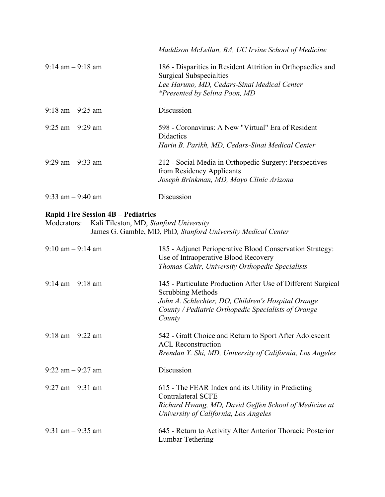|                                     | Maddison McLellan, BA, UC Irvine School of Medicine                                                                                                                           |
|-------------------------------------|-------------------------------------------------------------------------------------------------------------------------------------------------------------------------------|
| $9:14 \text{ am} - 9:18 \text{ am}$ | 186 - Disparities in Resident Attrition in Orthopaedics and<br>Surgical Subspecialties<br>Lee Haruno, MD, Cedars-Sinai Medical Center<br><i>*Presented by Selina Poon, MD</i> |
| $9:18$ am $-9:25$ am                | Discussion                                                                                                                                                                    |
| $9:25$ am $-9:29$ am                | 598 - Coronavirus: A New "Virtual" Era of Resident<br><b>Didactics</b><br>Harin B. Parikh, MD, Cedars-Sinai Medical Center                                                    |
| $9:29$ am $-9:33$ am                | 212 - Social Media in Orthopedic Surgery: Perspectives<br>from Residency Applicants<br>Joseph Brinkman, MD, Mayo Clinic Arizona                                               |
| $9:33$ am $-9:40$ am                | Discussion                                                                                                                                                                    |

## **Rapid Fire Session 4B – Pediatrics**

| Moderators: Kali Tileston, MD, Stanford University           |
|--------------------------------------------------------------|
| James G. Gamble, MD, PhD, Stanford University Medical Center |

| $9:10 \text{ am} - 9:14 \text{ am}$ | 185 - Adjunct Perioperative Blood Conservation Strategy:<br>Use of Intraoperative Blood Recovery<br>Thomas Cahir, University Orthopedic Specialists                                                      |
|-------------------------------------|----------------------------------------------------------------------------------------------------------------------------------------------------------------------------------------------------------|
| $9:14 \text{ am} - 9:18 \text{ am}$ | 145 - Particulate Production After Use of Different Surgical<br>Scrubbing Methods<br>John A. Schlechter, DO, Children's Hospital Orange<br>County / Pediatric Orthopedic Specialists of Orange<br>County |
| $9:18$ am $-9:22$ am                | 542 - Graft Choice and Return to Sport After Adolescent<br><b>ACL Reconstruction</b><br>Brendan Y. Shi, MD, University of California, Los Angeles                                                        |
| $9:22$ am $-9:27$ am                | Discussion                                                                                                                                                                                               |
| $9:27$ am $-9:31$ am                | 615 - The FEAR Index and its Utility in Predicting<br><b>Contralateral SCFE</b><br>Richard Hwang, MD, David Geffen School of Medicine at<br>University of California, Los Angeles                        |
| 9:31 am $-$ 9:35 am                 | 645 - Return to Activity After Anterior Thoracic Posterior<br>Lumbar Tethering                                                                                                                           |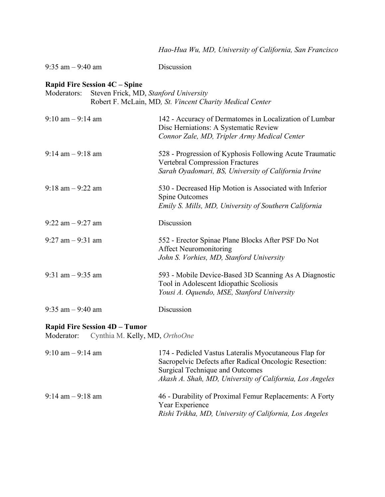|                                                                                              | Hao-Hua Wu, MD, University of California, San Francisco                                                                                                   |
|----------------------------------------------------------------------------------------------|-----------------------------------------------------------------------------------------------------------------------------------------------------------|
| $9:35$ am $-9:40$ am                                                                         | Discussion                                                                                                                                                |
| <b>Rapid Fire Session 4C - Spine</b><br>Steven Frick, MD, Stanford University<br>Moderators: | Robert F. McLain, MD, St. Vincent Charity Medical Center                                                                                                  |
| $9:10 \text{ am} - 9:14 \text{ am}$                                                          | 142 - Accuracy of Dermatomes in Localization of Lumbar<br>Disc Herniations: A Systematic Review<br>Connor Zale, MD, Tripler Army Medical Center           |
| $9:14$ am $-9:18$ am                                                                         | 528 - Progression of Kyphosis Following Acute Traumatic<br><b>Vertebral Compression Fractures</b><br>Sarah Oyadomari, BS, University of California Irvine |
| $9:18$ am $-9:22$ am                                                                         | 530 - Decreased Hip Motion is Associated with Inferior<br><b>Spine Outcomes</b><br>Emily S. Mills, MD, University of Southern California                  |
| $9:22$ am $-9:27$ am                                                                         | Discussion                                                                                                                                                |
| $9:27$ am $-9:31$ am                                                                         | 552 - Erector Spinae Plane Blocks After PSF Do Not<br><b>Affect Neuromonitoring</b><br>John S. Vorhies, MD, Stanford University                           |
| 9:31 am $-$ 9:35 am                                                                          | 593 - Mobile Device-Based 3D Scanning As A Diagnostic<br>Tool in Adolescent Idiopathic Scoliosis<br>Yousi A. Oquendo, MSE, Stanford University            |
| $9:35$ am $-9:40$ am                                                                         | Discussion                                                                                                                                                |

#### **Rapid Fire Session 4D – Tumor**

Moderator: Cynthia M. Kelly, MD, *OrthoOne*

| $9:10 \text{ am} - 9:14 \text{ am}$ | 174 - Pedicled Vastus Lateralis Myocutaneous Flap for<br>Sacropelvic Defects after Radical Oncologic Resection:<br>Surgical Technique and Outcomes<br>Akash A. Shah, MD, University of California, Los Angeles |
|-------------------------------------|----------------------------------------------------------------------------------------------------------------------------------------------------------------------------------------------------------------|
| $9:14 \text{ am} - 9:18 \text{ am}$ | 46 - Durability of Proximal Femur Replacements: A Forty<br>Year Experience<br>Rishi Trikha, MD, University of California, Los Angeles                                                                          |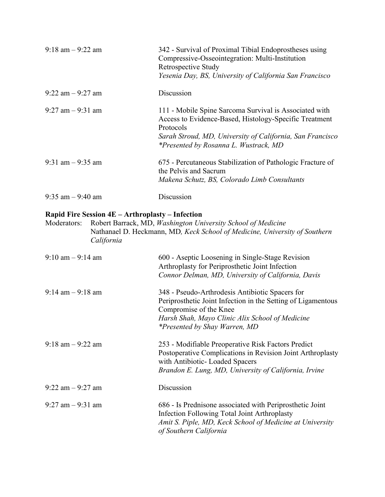| $9:18$ am $-9:22$ am | 342 - Survival of Proximal Tibial Endoprostheses using<br>Compressive-Osseointegration: Multi-Institution<br>Retrospective Study<br>Yesenia Day, BS, University of California San Francisco                                         |
|----------------------|-------------------------------------------------------------------------------------------------------------------------------------------------------------------------------------------------------------------------------------|
| $9:22$ am $-9:27$ am | Discussion                                                                                                                                                                                                                          |
| $9:27$ am $-9:31$ am | 111 - Mobile Spine Sarcoma Survival is Associated with<br>Access to Evidence-Based, Histology-Specific Treatment<br>Protocols<br>Sarah Stroud, MD, University of California, San Francisco<br>*Presented by Rosanna L. Wustrack, MD |
| 9:31 am $-$ 9:35 am  | 675 - Percutaneous Stabilization of Pathologic Fracture of<br>the Pelvis and Sacrum<br>Makena Schutz, BS, Colorado Limb Consultants                                                                                                 |
| $9:35$ am $-9:40$ am | Discussion                                                                                                                                                                                                                          |

# **Rapid Fire Session 4E – Arthroplasty – Infection**

| Moderators: | Robert Barrack, MD, <i>Washington University School of Medicine</i>        |  |
|-------------|----------------------------------------------------------------------------|--|
|             | Nathanael D. Heckmann, MD, Keck School of Medicine, University of Southern |  |
|             | California                                                                 |  |

| $9:10 \text{ am} - 9:14 \text{ am}$ | 600 - Aseptic Loosening in Single-Stage Revision<br>Arthroplasty for Periprosthetic Joint Infection                                                                                                   |
|-------------------------------------|-------------------------------------------------------------------------------------------------------------------------------------------------------------------------------------------------------|
|                                     | Connor Delman, MD, University of California, Davis                                                                                                                                                    |
| $9:14 \text{ am} - 9:18 \text{ am}$ | 348 - Pseudo-Arthrodesis Antibiotic Spacers for<br>Periprosthetic Joint Infection in the Setting of Ligamentous                                                                                       |
|                                     | Compromise of the Knee                                                                                                                                                                                |
|                                     | Harsh Shah, Mayo Clinic Alix School of Medicine                                                                                                                                                       |
|                                     | <i>*Presented by Shay Warren, MD</i>                                                                                                                                                                  |
| $9:18$ am $-9:22$ am                | 253 - Modifiable Preoperative Risk Factors Predict<br>Postoperative Complications in Revision Joint Arthroplasty<br>with Antibiotic- Loaded Spacers                                                   |
|                                     | Brandon E. Lung, MD, University of California, Irvine                                                                                                                                                 |
| $9:22$ am $-9:27$ am                | Discussion                                                                                                                                                                                            |
| $9:27$ am $-9:31$ am                | 686 - Is Prednisone associated with Periprosthetic Joint<br><b>Infection Following Total Joint Arthroplasty</b><br>Amit S. Piple, MD, Keck School of Medicine at University<br>of Southern California |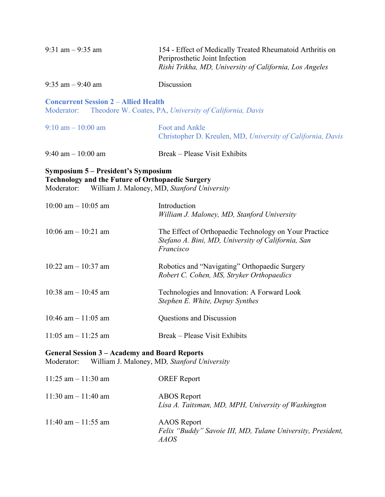| 9:31 am $-$ 9:35 am                                                                                                                                         | 154 - Effect of Medically Treated Rheumatoid Arthritis on<br>Periprosthetic Joint Infection<br>Rishi Trikha, MD, University of California, Los Angeles |  |
|-------------------------------------------------------------------------------------------------------------------------------------------------------------|--------------------------------------------------------------------------------------------------------------------------------------------------------|--|
| $9:35$ am $-9:40$ am                                                                                                                                        | Discussion                                                                                                                                             |  |
| <b>Concurrent Session 2 – Allied Health</b><br>Moderator:                                                                                                   | Theodore W. Coates, PA, University of California, Davis                                                                                                |  |
| $9:10 \text{ am} - 10:00 \text{ am}$                                                                                                                        | <b>Foot and Ankle</b><br>Christopher D. Kreulen, MD, University of California, Davis                                                                   |  |
| 9:40 am $-10:00$ am                                                                                                                                         | Break – Please Visit Exhibits                                                                                                                          |  |
| Symposium 5 – President's Symposium<br><b>Technology and the Future of Orthopaedic Surgery</b><br>William J. Maloney, MD, Stanford University<br>Moderator: |                                                                                                                                                        |  |
| 10:00 am $-$ 10:05 am                                                                                                                                       | Introduction<br>William J. Maloney, MD, Stanford University                                                                                            |  |
| $10:06$ am $- 10:21$ am                                                                                                                                     | The Effect of Orthopaedic Technology on Your Practice<br>Stefano A. Bini, MD, University of California, San<br>Francisco                               |  |
| 10:22 am $-$ 10:37 am                                                                                                                                       | Robotics and "Navigating" Orthopaedic Surgery<br>Robert C. Cohen, MS, Stryker Orthopaedics                                                             |  |
| 10:38 am $-$ 10:45 am                                                                                                                                       | Technologies and Innovation: A Forward Look<br>Stephen E. White, Depuy Synthes                                                                         |  |
| 10:46 am $-11:05$ am                                                                                                                                        | Questions and Discussion                                                                                                                               |  |
| $11:05$ am $-11:25$ am                                                                                                                                      | Break – Please Visit Exhibits                                                                                                                          |  |
| <b>General Session 3 – Academy and Board Reports</b><br>Moderator:                                                                                          | William J. Maloney, MD, Stanford University                                                                                                            |  |
| $11:25$ am $-11:30$ am                                                                                                                                      | <b>OREF</b> Report                                                                                                                                     |  |
| $11:30$ am $-11:40$ am                                                                                                                                      | <b>ABOS</b> Report<br>Lisa A. Taitsman, MD, MPH, University of Washington                                                                              |  |
| 11:40 am $-$ 11:55 am                                                                                                                                       | <b>AAOS</b> Report                                                                                                                                     |  |

*Felix "Buddy" Savoie III, MD, Tulane University, President, AAOS*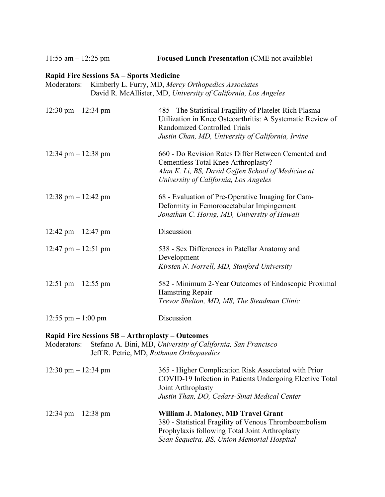11:55 am – 12:25 pm **Focused Lunch Presentation (**CME not available)

#### **Rapid Fire Sessions 5A – Sports Medicine**

| Moderators: Kimberly L. Furry, MD, Mercy Orthopedics Associates |
|-----------------------------------------------------------------|
| David R. McAllister, MD, University of California, Los Angeles  |

| $12:30 \text{ pm} - 12:34 \text{ pm}$ | 485 - The Statistical Fragility of Platelet-Rich Plasma<br>Utilization in Knee Osteoarthritis: A Systematic Review of<br>Randomized Controlled Trials<br>Justin Chan, MD, University of California, Irvine |
|---------------------------------------|------------------------------------------------------------------------------------------------------------------------------------------------------------------------------------------------------------|
| $12:34 \text{ pm} - 12:38 \text{ pm}$ | 660 - Do Revision Rates Differ Between Cemented and<br>Cementless Total Knee Arthroplasty?<br>Alan K. Li, BS, David Geffen School of Medicine at<br>University of California, Los Angeles                  |
| $12:38 \text{ pm} - 12:42 \text{ pm}$ | 68 - Evaluation of Pre-Operative Imaging for Cam-<br>Deformity in Femoroacetabular Impingement<br>Jonathan C. Horng, MD, University of Hawaii                                                              |
| 12:42 pm $-$ 12:47 pm                 | Discussion                                                                                                                                                                                                 |
| $12:47$ pm $-12:51$ pm                | 538 - Sex Differences in Patellar Anatomy and<br>Development<br>Kirsten N. Norrell, MD, Stanford University                                                                                                |
| 12:51 pm $-$ 12:55 pm                 | 582 - Minimum 2-Year Outcomes of Endoscopic Proximal<br>Hamstring Repair<br>Trevor Shelton, MD, MS, The Steadman Clinic                                                                                    |
| $12:55$ pm $-1:00$ pm                 | Discussion                                                                                                                                                                                                 |

# **Rapid Fire Sessions 5B – Arthroplasty – Outcomes**

Moderators: Stefano A. Bini, MD, *University of California, San Francisco* Jeff R. Petrie, MD, *Rothman Orthopaedics*

| $12:30 \text{ pm} - 12:34 \text{ pm}$ | 365 - Higher Complication Risk Associated with Prior<br>COVID-19 Infection in Patients Undergoing Elective Total<br>Joint Arthroplasty<br>Justin Than, DO, Cedars-Sinai Medical Center       |
|---------------------------------------|----------------------------------------------------------------------------------------------------------------------------------------------------------------------------------------------|
| $12:34 \text{ pm} - 12:38 \text{ pm}$ | William J. Maloney, MD Travel Grant<br>380 - Statistical Fragility of Venous Thromboembolism<br>Prophylaxis following Total Joint Arthroplasty<br>Sean Sequeira, BS, Union Memorial Hospital |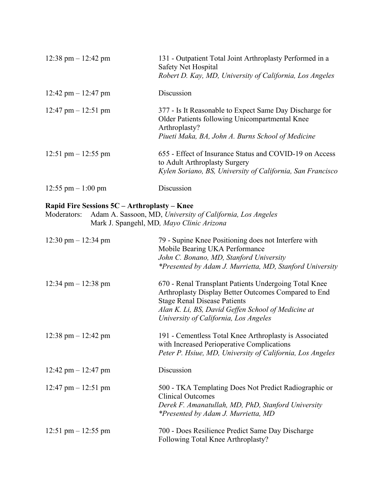| $12:38 \text{ pm} - 12:42 \text{ pm}$ | 131 - Outpatient Total Joint Arthroplasty Performed in a<br>Safety Net Hospital<br>Robert D. Kay, MD, University of California, Los Angeles                                     |
|---------------------------------------|---------------------------------------------------------------------------------------------------------------------------------------------------------------------------------|
| 12:42 pm $-$ 12:47 pm                 | Discussion                                                                                                                                                                      |
| $12:47$ pm $-12:51$ pm                | 377 - Is It Reasonable to Expect Same Day Discharge for<br>Older Patients following Unicompartmental Knee<br>Arthroplasty?<br>Piueti Maka, BA, John A. Burns School of Medicine |
| 12:51 pm $-$ 12:55 pm                 | 655 - Effect of Insurance Status and COVID-19 on Access<br>to Adult Arthroplasty Surgery<br>Kylen Soriano, BS, University of California, San Francisco                          |
| $12:55$ pm $-1:00$ pm                 | Discussion                                                                                                                                                                      |

# **Rapid Fire Sessions 5C – Arthroplasty – Knee**

Moderators: Adam A. Sassoon, MD, *University of California, Los Angeles* Mark J. Spangehl, MD*, Mayo Clinic Arizona*

| $12:30 \text{ pm} - 12:34 \text{ pm}$ | 79 - Supine Knee Positioning does not Interfere with<br>Mobile Bearing UKA Performance<br>John C. Bonano, MD, Stanford University<br>*Presented by Adam J. Murrietta, MD, Stanford University                                                       |
|---------------------------------------|-----------------------------------------------------------------------------------------------------------------------------------------------------------------------------------------------------------------------------------------------------|
| $12:34 \text{ pm} - 12:38 \text{ pm}$ | 670 - Renal Transplant Patients Undergoing Total Knee<br>Arthroplasty Display Better Outcomes Compared to End<br><b>Stage Renal Disease Patients</b><br>Alan K. Li, BS, David Geffen School of Medicine at<br>University of California, Los Angeles |
| $12:38 \text{ pm} - 12:42 \text{ pm}$ | 191 - Cementless Total Knee Arthroplasty is Associated<br>with Increased Perioperative Complications<br>Peter P. Hsiue, MD, University of California, Los Angeles                                                                                   |
| 12:42 pm $-$ 12:47 pm                 | Discussion                                                                                                                                                                                                                                          |
| 12:47 pm $-$ 12:51 pm                 | 500 - TKA Templating Does Not Predict Radiographic or<br><b>Clinical Outcomes</b><br>Derek F. Amanatullah, MD, PhD, Stanford University<br>*Presented by Adam J. Murrietta, MD                                                                      |
| 12:51 pm $-$ 12:55 pm                 | 700 - Does Resilience Predict Same Day Discharge<br>Following Total Knee Arthroplasty?                                                                                                                                                              |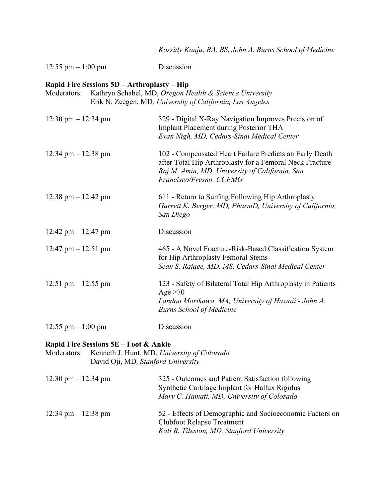|                                                                                                                                                                                    | Kassidy Kanja, BA, BS, John A. Burns School of Medicine                                                                                                                                          |  |
|------------------------------------------------------------------------------------------------------------------------------------------------------------------------------------|--------------------------------------------------------------------------------------------------------------------------------------------------------------------------------------------------|--|
| $12:55$ pm $-1:00$ pm                                                                                                                                                              | Discussion                                                                                                                                                                                       |  |
| Rapid Fire Sessions 5D - Arthroplasty - Hip<br>Kathryn Schabel, MD, Oregon Health & Science University<br>Moderators:<br>Erik N. Zeegen, MD, University of California, Los Angeles |                                                                                                                                                                                                  |  |
| $12:30 \text{ pm} - 12:34 \text{ pm}$                                                                                                                                              | 329 - Digital X-Ray Navigation Improves Precision of<br><b>Implant Placement during Posterior THA</b><br>Evan Nigh, MD, Cedars-Sinai Medical Center                                              |  |
| 12:34 pm $- 12:38$ pm                                                                                                                                                              | 102 - Compensated Heart Failure Predicts an Early Death<br>after Total Hip Arthroplasty for a Femoral Neck Fracture<br>Raj M. Amin, MD, University of California, San<br>Francisco/Fresno, CCFMG |  |
| 12:38 pm $-$ 12:42 pm                                                                                                                                                              | 611 - Return to Surfing Following Hip Arthroplasty<br>Garrett K. Berger, MD, PharmD, University of California,<br>San Diego                                                                      |  |
| 12:42 pm $-$ 12:47 pm                                                                                                                                                              | Discussion                                                                                                                                                                                       |  |
| 12:47 pm $-$ 12:51 pm                                                                                                                                                              | 465 - A Novel Fracture-Risk-Based Classification System<br>for Hip Arthroplasty Femoral Stems<br>Sean S. Rajaee, MD, MS, Cedars-Sinai Medical Center                                             |  |
| 12:51 pm $-$ 12:55 pm                                                                                                                                                              | 123 - Safety of Bilateral Total Hip Arthroplasty in Patients<br>Age $>70$<br>Landon Morikawa, MA, University of Hawaii - John A.<br><b>Burns School of Medicine</b>                              |  |
| 12:55 pm $-1:00$ pm                                                                                                                                                                | Discussion                                                                                                                                                                                       |  |

# **Rapid Fire Sessions 5E – Foot & Ankle**

| Moderators: Kenneth J. Hunt, MD, University of Colorado |
|---------------------------------------------------------|
| David Oji, MD, Stanford University                      |

| $12:30 \text{ pm} - 12:34 \text{ pm}$ | 325 - Outcomes and Patient Satisfaction following<br>Synthetic Cartilage Implant for Hallux Rigidus<br>Mary C. Hamati, MD, University of Colorado |
|---------------------------------------|---------------------------------------------------------------------------------------------------------------------------------------------------|
| 12:34 pm $-$ 12:38 pm                 | 52 - Effects of Demographic and Socioeconomic Factors on<br><b>Clubfoot Relapse Treatment</b><br>Kali R. Tileston, MD, Stanford University        |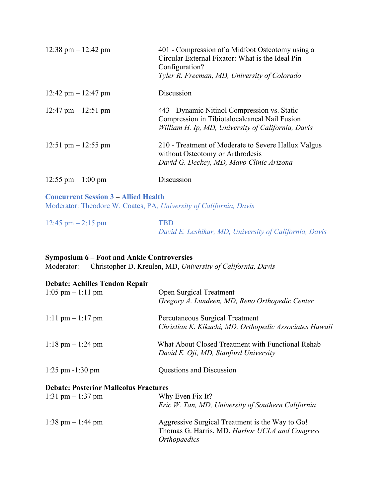| $12:38 \text{ pm} - 12:42 \text{ pm}$ | 401 - Compression of a Midfoot Osteotomy using a<br>Circular External Fixator: What is the Ideal Pin<br>Configuration?<br>Tyler R. Freeman, MD, University of Colorado |
|---------------------------------------|------------------------------------------------------------------------------------------------------------------------------------------------------------------------|
| 12:42 pm $-$ 12:47 pm                 | Discussion                                                                                                                                                             |
| 12:47 pm $-$ 12:51 pm                 | 443 - Dynamic Nitinol Compression vs. Static<br>Compression in Tibiotalocalcaneal Nail Fusion<br>William H. Ip, MD, University of California, Davis                    |
| 12:51 pm $-$ 12:55 pm                 | 210 - Treatment of Moderate to Severe Hallux Valgus<br>without Osteotomy or Arthrodesis<br>David G. Deckey, MD, Mayo Clinic Arizona                                    |
| $12:55$ pm $-1:00$ pm                 | Discussion                                                                                                                                                             |

#### **Concurrent Session 3 – Allied Health** Moderator: Theodore W. Coates, PA*, University of California, Davis*

| $12:45 \text{ pm} - 2:15 \text{ pm}$ | <b>TRD</b> |                                                        |  |
|--------------------------------------|------------|--------------------------------------------------------|--|
|                                      |            | David E. Leshikar, MD, University of California, Davis |  |

# **Symposium 6 – Foot and Ankle Controversies**

Moderator: Christopher D. Kreulen, MD, *University of California, Davis*

|  | <b>Debate: Achilles Tendon Repair</b> |  |  |
|--|---------------------------------------|--|--|
|--|---------------------------------------|--|--|

| $1:05$ pm $-1:11$ pm                         | <b>Open Surgical Treatment</b>                         |
|----------------------------------------------|--------------------------------------------------------|
|                                              | Gregory A. Lundeen, MD, Reno Orthopedic Center         |
| $1:11 \text{ pm} - 1:17 \text{ pm}$          | Percutaneous Surgical Treatment                        |
|                                              | Christian K. Kikuchi, MD, Orthopedic Associates Hawaii |
| $1:18 \text{ pm} - 1:24 \text{ pm}$          | What About Closed Treatment with Functional Rehab      |
|                                              | David E. Oji, MD, Stanford University                  |
| $1:25$ pm $-1:30$ pm                         | <b>Questions and Discussion</b>                        |
| <b>Debate: Posterior Malleolus Fractures</b> |                                                        |
| 1:31 pm $-1:37$ pm                           | Why Even Fix It?                                       |
|                                              | Eric W. Tan, MD, University of Southern California     |
| $1:38$ pm $-1:44$ pm                         | Aggressive Surgical Treatment is the Way to Go!        |
|                                              | Thomas G. Harris, MD, Harbor UCLA and Congress         |
|                                              | <i><b>Orthopaedics</b></i>                             |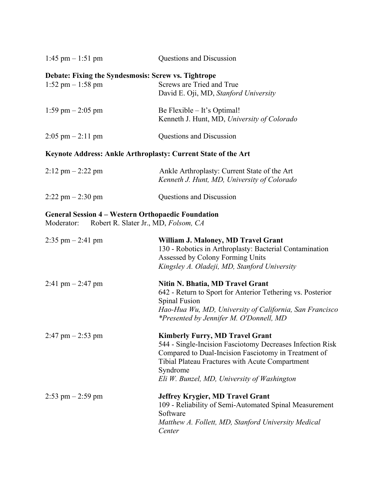| 1:45 pm $-$ 1:51 pm                                                                        | Questions and Discussion                                                                                                                                                                                                                                                  |
|--------------------------------------------------------------------------------------------|---------------------------------------------------------------------------------------------------------------------------------------------------------------------------------------------------------------------------------------------------------------------------|
| Debate: Fixing the Syndesmosis: Screw vs. Tightrope<br>$1:52 \text{ pm} - 1:58 \text{ pm}$ | Screws are Tried and True<br>David E. Oji, MD, Stanford University                                                                                                                                                                                                        |
| 1:59 pm $-$ 2:05 pm                                                                        | Be Flexible - It's Optimal!<br>Kenneth J. Hunt, MD, University of Colorado                                                                                                                                                                                                |
| $2:05$ pm $-2:11$ pm                                                                       | Questions and Discussion                                                                                                                                                                                                                                                  |
|                                                                                            | Keynote Address: Ankle Arthroplasty: Current State of the Art                                                                                                                                                                                                             |
| $2:12 \text{ pm} - 2:22 \text{ pm}$                                                        | Ankle Arthroplasty: Current State of the Art<br>Kenneth J. Hunt, MD, University of Colorado                                                                                                                                                                               |
| $2:22$ pm $-2:30$ pm                                                                       | Questions and Discussion                                                                                                                                                                                                                                                  |
| <b>General Session 4 – Western Orthopaedic Foundation</b><br>Moderator:                    | Robert R. Slater Jr., MD, Folsom, CA                                                                                                                                                                                                                                      |
| $2:35$ pm $- 2:41$ pm                                                                      | William J. Maloney, MD Travel Grant<br>130 - Robotics in Arthroplasty: Bacterial Contamination<br>Assessed by Colony Forming Units<br>Kingsley A. Oladeji, MD, Stanford University                                                                                        |
| 2:41 pm $-$ 2:47 pm                                                                        | Nitin N. Bhatia, MD Travel Grant<br>642 - Return to Sport for Anterior Tethering vs. Posterior<br><b>Spinal Fusion</b><br>Hao-Hua Wu, MD, University of California, San Francisco<br>*Presented by Jennifer M. O'Donnell, MD                                              |
| $2:47$ pm $- 2:53$ pm                                                                      | <b>Kimberly Furry, MD Travel Grant</b><br>544 - Single-Incision Fasciotomy Decreases Infection Risk<br>Compared to Dual-Incision Fasciotomy in Treatment of<br>Tibial Plateau Fractures with Acute Compartment<br>Syndrome<br>Eli W. Bunzel, MD, University of Washington |
| $2:53$ pm $-2:59$ pm                                                                       | <b>Jeffrey Krygier, MD Travel Grant</b><br>109 - Reliability of Semi-Automated Spinal Measurement<br>Software<br>Matthew A. Follett, MD, Stanford University Medical<br>Center                                                                                            |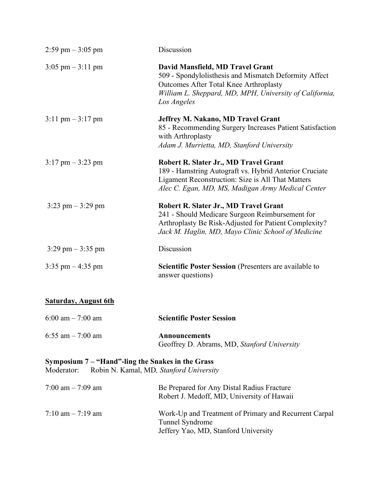| 2:59 pm $-3:05$ pm                                                                                         | Discussion                                                                                                                                                                                                    |
|------------------------------------------------------------------------------------------------------------|---------------------------------------------------------------------------------------------------------------------------------------------------------------------------------------------------------------|
| $3:05 \text{ pm} - 3:11 \text{ pm}$                                                                        | David Mansfield, MD Travel Grant<br>509 - Spondylolisthesis and Mismatch Deformity Affect<br>Outcomes After Total Knee Arthroplasty<br>William L. Sheppard, MD, MPH, University of California,<br>Los Angeles |
| $3:11 \text{ pm} - 3:17 \text{ pm}$                                                                        | Jeffrey M. Nakano, MD Travel Grant<br>85 - Recommending Surgery Increases Patient Satisfaction<br>with Arthroplasty<br>Adam J. Murrietta, MD, Stanford University                                             |
| $3:17$ pm $-3:23$ pm                                                                                       | Robert R. Slater Jr., MD Travel Grant<br>189 - Hamstring Autograft vs. Hybrid Anterior Cruciate<br>Ligament Reconstruction: Size is All That Matters<br>Alec C. Egan, MD, MS, Madigan Army Medical Center     |
| $3:23$ pm $-3:29$ pm                                                                                       | Robert R. Slater Jr., MD Travel Grant<br>241 - Should Medicare Surgeon Reimbursement for<br>Arthroplasty Be Risk-Adjusted for Patient Complexity?<br>Jack M. Haglin, MD, Mayo Clinic School of Medicine       |
| $3:29$ pm $-3:35$ pm                                                                                       | Discussion                                                                                                                                                                                                    |
| $3:35$ pm $-4:35$ pm                                                                                       | Scientific Poster Session (Presenters are available to<br>answer questions)                                                                                                                                   |
| <b>Saturday, August 6th</b>                                                                                |                                                                                                                                                                                                               |
| $6:00$ am $- 7:00$ am                                                                                      | <b>Scientific Poster Session</b>                                                                                                                                                                              |
| 6:55 am $-7:00$ am                                                                                         | <b>Announcements</b><br>Geoffrey D. Abrams, MD, Stanford University                                                                                                                                           |
| Symposium 7 – "Hand"-ling the Snakes in the Grass<br>Moderator:<br>Robin N. Kamal, MD, Stanford University |                                                                                                                                                                                                               |

| $7:00 \text{ am} - 7:09 \text{ am}$ | Be Prepared for Any Distal Radius Fracture<br>Robert J. Medoff, MD, University of Hawaii                         |
|-------------------------------------|------------------------------------------------------------------------------------------------------------------|
| $7:10 \text{ am} - 7:19 \text{ am}$ | Work-Up and Treatment of Primary and Recurrent Carpal<br>Tunnel Syndrome<br>Jeffery Yao, MD, Stanford University |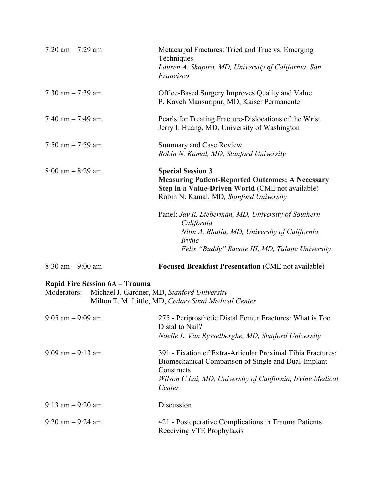| $7:20$ am $-7:29$ am                          | Metacarpal Fractures: Tried and True vs. Emerging<br>Techniques<br>Lauren A. Shapiro, MD, University of California, San<br>Francisco                                                                     |
|-----------------------------------------------|----------------------------------------------------------------------------------------------------------------------------------------------------------------------------------------------------------|
| 7:30 am $-$ 7:39 am                           | Office-Based Surgery Improves Quality and Value<br>P. Kaveh Mansuripur, MD, Kaiser Permanente                                                                                                            |
| 7:40 am $-$ 7:49 am                           | Pearls for Treating Fracture-Dislocations of the Wrist<br>Jerry I. Huang, MD, University of Washington                                                                                                   |
| 7:50 am $-$ 7:59 am                           | Summary and Case Review<br>Robin N. Kamal, MD, Stanford University                                                                                                                                       |
| $8:00 \text{ am} - 8:29 \text{ am}$           | <b>Special Session 3</b><br><b>Measuring Patient-Reported Outcomes: A Necessary</b><br>Step in a Value-Driven World (CME not available)<br>Robin N. Kamal, MD, Stanford University                       |
|                                               | Panel: Jay R. Lieberman, MD, University of Southern<br>California<br>Nitin A. Bhatia, MD, University of California,<br>Irvine<br>Felix "Buddy" Savoie III, MD, Tulane University                         |
| $8:30$ am $-9:00$ am                          | <b>Focused Breakfast Presentation (CME not available)</b>                                                                                                                                                |
| Rapid Fire Session 6A - Trauma<br>Moderators: | Michael J. Gardner, MD, Stanford University<br>Milton T. M. Little, MD, Cedars Sinai Medical Center                                                                                                      |
| $9:05$ am $-9:09$ am                          | 275 - Periprosthetic Distal Femur Fractures: What is Too<br>Distal to Nail?<br>Noelle L. Van Rysselberghe, MD, Stanford University                                                                       |
| $9:09$ am $-9:13$ am                          | 391 - Fixation of Extra-Articular Proximal Tibia Fractures:<br>Biomechanical Comparison of Single and Dual-Implant<br>Constructs<br>Wilson C Lai, MD, University of California, Irvine Medical<br>Center |
| $9:13$ am $-9:20$ am                          | Discussion                                                                                                                                                                                               |
| $9:20$ am $-9:24$ am                          | 421 - Postoperative Complications in Trauma Patients<br>Receiving VTE Prophylaxis                                                                                                                        |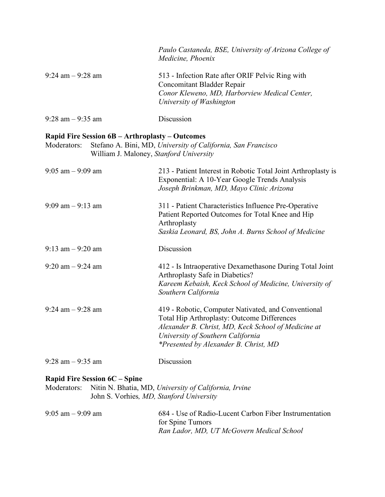|                                                 | Paulo Castaneda, BSE, University of Arizona College of<br>Medicine, Phoenix                                                                                 |
|-------------------------------------------------|-------------------------------------------------------------------------------------------------------------------------------------------------------------|
| $9:24$ am $-9:28$ am                            | 513 - Infection Rate after ORIF Pelvic Ring with<br>Concomitant Bladder Repair<br>Conor Kleweno, MD, Harborview Medical Center,<br>University of Washington |
| $9:28$ am $-9:35$ am                            | Discussion                                                                                                                                                  |
| Rapid Fire Session 6B - Arthroplasty - Outcomes |                                                                                                                                                             |

| Moderators: Stefano A. Bini, MD, University of California, San Francisco |
|--------------------------------------------------------------------------|
| William J. Maloney, Stanford University                                  |

| $9:05$ am $-9:09$ am | 213 - Patient Interest in Robotic Total Joint Arthroplasty is<br>Exponential: A 10-Year Google Trends Analysis<br>Joseph Brinkman, MD, Mayo Clinic Arizona                                                                              |
|----------------------|-----------------------------------------------------------------------------------------------------------------------------------------------------------------------------------------------------------------------------------------|
| $9:09$ am $-9:13$ am | 311 - Patient Characteristics Influence Pre-Operative<br>Patient Reported Outcomes for Total Knee and Hip<br>Arthroplasty<br>Saskia Leonard, BS, John A. Burns School of Medicine                                                       |
| $9:13$ am $-9:20$ am | Discussion                                                                                                                                                                                                                              |
| $9:20$ am $-9:24$ am | 412 - Is Intraoperative Dexamethasone During Total Joint<br>Arthroplasty Safe in Diabetics?<br>Kareem Kebaish, Keck School of Medicine, University of<br>Southern California                                                            |
| $9:24$ am $-9:28$ am | 419 - Robotic, Computer Nativated, and Conventional<br>Total Hip Arthroplasty: Outcome Differences<br>Alexander B. Christ, MD, Keck School of Medicine at<br>University of Southern California<br>*Presented by Alexander B. Christ, MD |
| $9:28$ am $-9:35$ am | Discussion                                                                                                                                                                                                                              |

# **Rapid Fire Session 6C – Spine**

| Moderators: Nitin N. Bhatia, MD, University of California, Irvine |
|-------------------------------------------------------------------|
| John S. Vorhies, MD, Stanford University                          |

| $9:05$ am $-9:09$ am | 684 - Use of Radio-Lucent Carbon Fiber Instrumentation |
|----------------------|--------------------------------------------------------|
|                      | for Spine Tumors                                       |
|                      | Ran Lador, MD, UT McGovern Medical School              |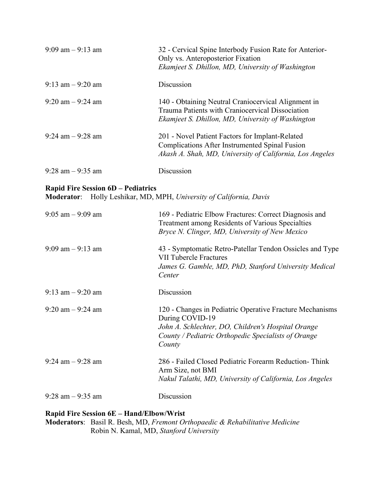| $9:09$ am $-9:13$ am                                           | 32 - Cervical Spine Interbody Fusion Rate for Anterior-<br>Only vs. Anteroposterior Fixation<br>Ekamjeet S. Dhillon, MD, University of Washington                                                  |
|----------------------------------------------------------------|----------------------------------------------------------------------------------------------------------------------------------------------------------------------------------------------------|
| $9:13$ am $-9:20$ am                                           | Discussion                                                                                                                                                                                         |
| $9:20$ am $-9:24$ am                                           | 140 - Obtaining Neutral Craniocervical Alignment in<br>Trauma Patients with Craniocervical Dissociation<br>Ekamjeet S. Dhillon, MD, University of Washington                                       |
| $9:24$ am $-9:28$ am                                           | 201 - Novel Patient Factors for Implant-Related<br><b>Complications After Instrumented Spinal Fusion</b><br>Akash A. Shah, MD, University of California, Los Angeles                               |
| $9:28$ am $-9:35$ am                                           | Discussion                                                                                                                                                                                         |
| <b>Rapid Fire Session 6D – Pediatrics</b><br><b>Moderator:</b> | Holly Leshikar, MD, MPH, University of California, Davis                                                                                                                                           |
| $9:05$ am $-9:09$ am                                           | 169 - Pediatric Elbow Fractures: Correct Diagnosis and<br>Treatment among Residents of Various Specialties<br>Bryce N. Clinger, MD, University of New Mexico                                       |
| $9:09$ am $-9:13$ am                                           | 43 - Symptomatic Retro-Patellar Tendon Ossicles and Type<br><b>VII Tubercle Fractures</b><br>James G. Gamble, MD, PhD, Stanford University Medical<br>Center                                       |
| $9:13$ am $-9:20$ am                                           | Discussion                                                                                                                                                                                         |
| $9:20$ am $-9:24$ am                                           | 120 - Changes in Pediatric Operative Fracture Mechanisms<br>During COVID-19<br>John A. Schlechter, DO, Children's Hospital Orange<br>County / Pediatric Orthopedic Specialists of Orange<br>County |
| $9:24$ am $-9:28$ am                                           | 286 - Failed Closed Pediatric Forearm Reduction-Think<br>Arm Size, not BMI<br>Nakul Talathi, MD, University of California, Los Angeles                                                             |
| $9:28$ am $-9:35$ am                                           | Discussion                                                                                                                                                                                         |
|                                                                |                                                                                                                                                                                                    |

#### **Rapid Fire Session 6E – Hand/Elbow/Wrist**

**Moderators**: Basil R. Besh, MD, *Fremont Orthopaedic & Rehabilitative Medicine* Robin N. Kamal, MD, *Stanford University*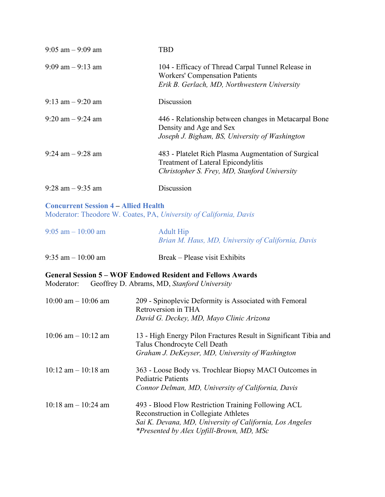| $9:05$ am $-9:09$ am                                                                                              | <b>TBD</b>                                                                                                                                       |
|-------------------------------------------------------------------------------------------------------------------|--------------------------------------------------------------------------------------------------------------------------------------------------|
| $9:09$ am $-9:13$ am                                                                                              | 104 - Efficacy of Thread Carpal Tunnel Release in<br><b>Workers' Compensation Patients</b><br>Erik B. Gerlach, MD, Northwestern University       |
| $9:13$ am $-9:20$ am                                                                                              | Discussion                                                                                                                                       |
| $9:20$ am $-9:24$ am                                                                                              | 446 - Relationship between changes in Metacarpal Bone<br>Density and Age and Sex<br>Joseph J. Bigham, BS, University of Washington               |
| $9:24$ am $-9:28$ am                                                                                              | 483 - Platelet Rich Plasma Augmentation of Surgical<br><b>Treatment of Lateral Epicondylitis</b><br>Christopher S. Frey, MD, Stanford University |
| $9:28$ am $-9:35$ am                                                                                              | Discussion                                                                                                                                       |
| <b>Concurrent Session 4 – Allied Health</b><br>Moderator: Theodore W. Coates, PA, University of California, Davis |                                                                                                                                                  |

| $9:05$ am $-10:00$ am | <b>Adult Hip</b><br>Brian M. Haus, MD, University of California, Davis |
|-----------------------|------------------------------------------------------------------------|
| $9:35$ am $-10:00$ am | Break – Please visit Exhibits                                          |

**General Session 5 – WOF Endowed Resident and Fellows Awards**

Moderator: Geoffrey D. Abrams, MD, *Stanford University*

| $10:00$ am $-10:06$ am  | 209 - Spinoplevic Deformity is Associated with Femoral<br>Retroversion in THA<br>David G. Deckey, MD, Mayo Clinic Arizona                                                                            |
|-------------------------|------------------------------------------------------------------------------------------------------------------------------------------------------------------------------------------------------|
| $10:06$ am $-10:12$ am  | 13 - High Energy Pilon Fractures Result in Significant Tibia and<br>Talus Chondrocyte Cell Death<br>Graham J. DeKeyser, MD, University of Washington                                                 |
| $10:12$ am $-10:18$ am  | 363 - Loose Body vs. Trochlear Biopsy MACI Outcomes in<br><b>Pediatric Patients</b><br>Connor Delman, MD, University of California, Davis                                                            |
| $10:18$ am $- 10:24$ am | 493 - Blood Flow Restriction Training Following ACL<br>Reconstruction in Collegiate Athletes<br>Sai K. Devana, MD, University of California, Los Angeles<br>*Presented by Alex Upfill-Brown, MD, MSc |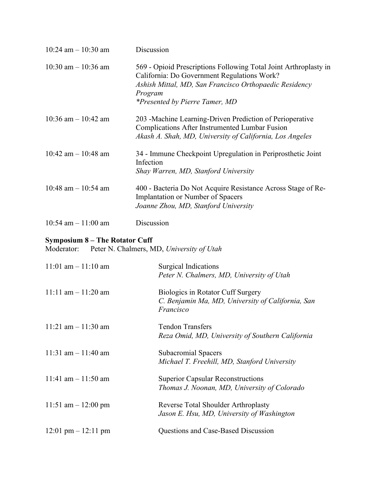| 10:24 am $-$ 10:30 am                               | Discussion                                                                                                                                                                                                                    |
|-----------------------------------------------------|-------------------------------------------------------------------------------------------------------------------------------------------------------------------------------------------------------------------------------|
| 10:30 am $-$ 10:36 am                               | 569 - Opioid Prescriptions Following Total Joint Arthroplasty in<br>California: Do Government Regulations Work?<br>Ashish Mittal, MD, San Francisco Orthopaedic Residency<br>Program<br><i>*Presented by Pierre Tamer, MD</i> |
| 10:36 am $-$ 10:42 am                               | 203 - Machine Learning-Driven Prediction of Perioperative<br>Complications After Instrumented Lumbar Fusion<br>Akash A. Shah, MD, University of California, Los Angeles                                                       |
| 10:42 am $-$ 10:48 am                               | 34 - Immune Checkpoint Upregulation in Periprosthetic Joint<br>Infection<br>Shay Warren, MD, Stanford University                                                                                                              |
| 10:48 am $-$ 10:54 am                               | 400 - Bacteria Do Not Acquire Resistance Across Stage of Re-<br>Implantation or Number of Spacers<br>Joanne Zhou, MD, Stanford University                                                                                     |
| 10:54 am $-11:00$ am                                | Discussion                                                                                                                                                                                                                    |
| <b>Symposium 8 - The Rotator Cuff</b><br>Moderator: | Peter N. Chalmers, MD, University of Utah                                                                                                                                                                                     |
| $11:01$ am $-11:10$ am                              | <b>Surgical Indications</b><br>Peter N. Chalmers, MD, University of Utah                                                                                                                                                      |
| $11:11$ am $-11:20$ am                              | <b>Biologics in Rotator Cuff Surgery</b><br>C. Benjamin Ma, MD, University of California, San<br>Francisco                                                                                                                    |
| 11:21 am $- 11:30$ am                               | <b>Tendon Transfers</b><br>Reza Omid, MD, University of Southern California                                                                                                                                                   |
| 11:31 am $-11:40$ am                                | <b>Subacromial Spacers</b><br>Michael T. Freehill, MD, Stanford University                                                                                                                                                    |
| 11:41 am $-11:50$ am                                | <b>Superior Capsular Reconstructions</b><br>Thomas J. Noonan, MD, University of Colorado                                                                                                                                      |
| 11:51 am $-$ 12:00 pm                               | Reverse Total Shoulder Arthroplasty<br>Jason E. Hsu, MD, University of Washington                                                                                                                                             |
| $12:01 \text{ pm} - 12:11 \text{ pm}$               | Questions and Case-Based Discussion                                                                                                                                                                                           |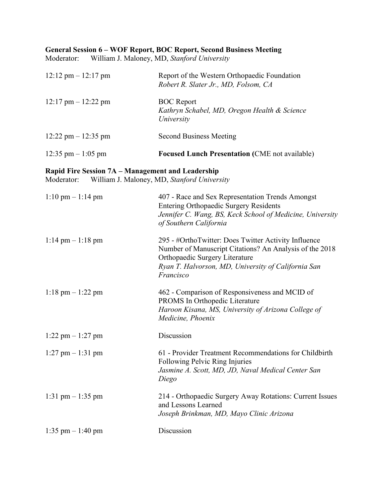#### **General Session 6 – WOF Report, BOC Report, Second Business Meeting**

Moderator: William J. Maloney, MD, *Stanford University*

| $12:12 \text{ pm} - 12:17 \text{ pm}$                           | Report of the Western Orthopaedic Foundation<br>Robert R. Slater Jr., MD, Folsom, CA                                                                                                                                  |
|-----------------------------------------------------------------|-----------------------------------------------------------------------------------------------------------------------------------------------------------------------------------------------------------------------|
| $12:17$ pm $- 12:22$ pm                                         | <b>BOC</b> Report<br>Kathryn Schabel, MD, Oregon Health & Science<br>University                                                                                                                                       |
| 12:22 pm $-$ 12:35 pm                                           | <b>Second Business Meeting</b>                                                                                                                                                                                        |
| 12:35 pm $-1:05$ pm                                             | <b>Focused Lunch Presentation (CME not available)</b>                                                                                                                                                                 |
| Rapid Fire Session 7A - Management and Leadership<br>Moderator: | William J. Maloney, MD, Stanford University                                                                                                                                                                           |
| $1:10 \text{ pm} - 1:14 \text{ pm}$                             | 407 - Race and Sex Representation Trends Amongst<br><b>Entering Orthopaedic Surgery Residents</b><br>Jennifer C. Wang, BS, Keck School of Medicine, University<br>of Southern California                              |
| $1:14 \text{ pm} - 1:18 \text{ pm}$                             | 295 - #OrthoTwitter: Does Twitter Activity Influence<br>Number of Manuscript Citations? An Analysis of the 2018<br>Orthopaedic Surgery Literature<br>Ryan T. Halvorson, MD, University of California San<br>Francisco |
| $1:18 \text{ pm} - 1:22 \text{ pm}$                             | 462 - Comparison of Responsiveness and MCID of<br>PROMS In Orthopedic Literature<br>Haroon Kisana, MS, University of Arizona College of<br>Medicine, Phoenix                                                          |
| $1:22$ pm $-1:27$ pm                                            | Discussion                                                                                                                                                                                                            |
| $1:27$ pm $-1:31$ pm                                            | 61 - Provider Treatment Recommendations for Childbirth<br>Following Pelvic Ring Injuries<br>Jasmine A. Scott, MD, JD, Naval Medical Center San<br>Diego                                                               |
| 1:31 pm $-1:35$ pm                                              | 214 - Orthopaedic Surgery Away Rotations: Current Issues<br>and Lessons Learned<br>Joseph Brinkman, MD, Mayo Clinic Arizona                                                                                           |
| $1:35$ pm $-1:40$ pm                                            | Discussion                                                                                                                                                                                                            |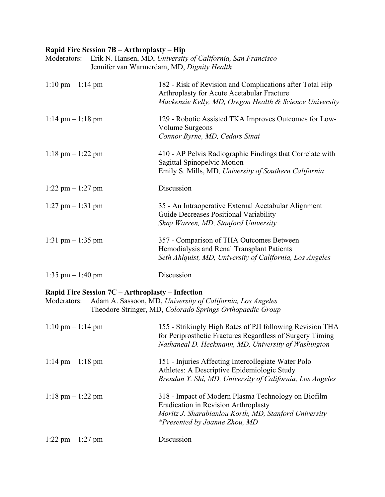#### **Rapid Fire Session 7B – Arthroplasty – Hip**

| Erik N. Hansen, MD, University of California, San Francisco<br>Moderators:<br>Jennifer van Warmerdam, MD, Dignity Health |  |                                                                                                                                                                   |
|--------------------------------------------------------------------------------------------------------------------------|--|-------------------------------------------------------------------------------------------------------------------------------------------------------------------|
| $1:10 \text{ pm} - 1:14 \text{ pm}$                                                                                      |  | 182 - Risk of Revision and Complications after Total Hip<br>Arthroplasty for Acute Acetabular Fracture<br>Mackenzie Kelly, MD, Oregon Health & Science University |
| $1:14 \text{ pm} - 1:18 \text{ pm}$                                                                                      |  | 129 - Robotic Assisted TKA Improves Outcomes for Low-<br>Volume Surgeons<br>Connor Byrne, MD, Cedars Sinai                                                        |
| $1:18$ pm $- 1:22$ pm                                                                                                    |  | 410 - AP Pelvis Radiographic Findings that Correlate with<br>Sagittal Spinopelvic Motion<br>Emily S. Mills, MD, University of Southern California                 |
| $1:22$ pm $-1:27$ pm                                                                                                     |  | Discussion                                                                                                                                                        |
| $1:27$ pm $-1:31$ pm                                                                                                     |  | 35 - An Intraoperative External Acetabular Alignment<br>Guide Decreases Positional Variability<br>Shay Warren, MD, Stanford University                            |
| 1:31 pm $-1:35$ pm                                                                                                       |  | 357 - Comparison of THA Outcomes Between<br>Hemodialysis and Renal Transplant Patients<br>Seth Ahlquist, MD, University of California, Los Angeles                |
| $1:35$ pm $-1:40$ pm                                                                                                     |  | Discussion                                                                                                                                                        |

## **Rapid Fire Session 7C – Arthroplasty – Infection**

|  | Moderators: Adam A. Sassoon, MD, University of California, Los Angeles |
|--|------------------------------------------------------------------------|
|  | Theodore Stringer, MD, Colorado Springs Orthopaedic Group              |

| $1:10 \text{ pm} - 1:14 \text{ pm}$ | 155 - Strikingly High Rates of PJI following Revision THA<br>for Periprosthetic Fractures Regardless of Surgery Timing<br>Nathaneal D. Heckmann, MD, University of Washington                       |
|-------------------------------------|-----------------------------------------------------------------------------------------------------------------------------------------------------------------------------------------------------|
| $1:14 \text{ pm} - 1:18 \text{ pm}$ | 151 - Injuries Affecting Intercollegiate Water Polo<br>Athletes: A Descriptive Epidemiologic Study<br>Brendan Y. Shi, MD, University of California, Los Angeles                                     |
| $1:18 \text{ pm} - 1:22 \text{ pm}$ | 318 - Impact of Modern Plasma Technology on Biofilm<br><b>Eradication in Revision Arthroplasty</b><br>Moritz J. Sharabianlou Korth, MD, Stanford University<br><i>*Presented by Joanne Zhou, MD</i> |
| $1:22$ pm $-1:27$ pm                | Discussion                                                                                                                                                                                          |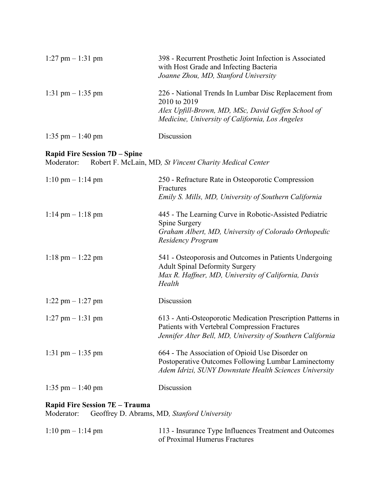| $1:27$ pm $-1:31$ pm                                                                        | 398 - Recurrent Prosthetic Joint Infection is Associated<br>with Host Grade and Infecting Bacteria<br>Joanne Zhou, MD, Stanford University                                     |  |
|---------------------------------------------------------------------------------------------|--------------------------------------------------------------------------------------------------------------------------------------------------------------------------------|--|
| 1:31 pm $-$ 1:35 pm                                                                         | 226 - National Trends In Lumbar Disc Replacement from<br>2010 to 2019<br>Alex Upfill-Brown, MD, MSc, David Geffen School of<br>Medicine, University of California, Los Angeles |  |
| $1:35$ pm $-1:40$ pm                                                                        | Discussion                                                                                                                                                                     |  |
| <b>Rapid Fire Session 7D – Spine</b><br>Moderator:                                          | Robert F. McLain, MD, St Vincent Charity Medical Center                                                                                                                        |  |
| $1:10 \text{ pm} - 1:14 \text{ pm}$                                                         | 250 - Refracture Rate in Osteoporotic Compression<br>Fractures<br>Emily S. Mills, MD, University of Southern California                                                        |  |
| $1:14 \text{ pm} - 1:18 \text{ pm}$                                                         | 445 - The Learning Curve in Robotic-Assisted Pediatric<br>Spine Surgery<br>Graham Albert, MD, University of Colorado Orthopedic<br><b>Residency Program</b>                    |  |
| $1:18$ pm $- 1:22$ pm                                                                       | 541 - Osteoporosis and Outcomes in Patients Undergoing<br><b>Adult Spinal Deformity Surgery</b><br>Max R. Haffner, MD, University of California, Davis<br>Health               |  |
| $1:22$ pm $-1:27$ pm                                                                        | Discussion                                                                                                                                                                     |  |
| $1:27$ pm $-1:31$ pm                                                                        | 613 - Anti-Osteoporotic Medication Prescription Patterns in<br>Patients with Vertebral Compression Fractures<br>Jennifer Alter Bell, MD, University of Southern California     |  |
| 1:31 pm $-1:35$ pm                                                                          | 664 - The Association of Opioid Use Disorder on<br>Postoperative Outcomes Following Lumbar Laminectomy<br>Adem Idrizi, SUNY Downstate Health Sciences University               |  |
| 1:35 pm $-$ 1:40 pm                                                                         | Discussion                                                                                                                                                                     |  |
| Rapid Fire Session 7E - Trauma<br>Geoffrey D. Abrams, MD, Stanford University<br>Moderator: |                                                                                                                                                                                |  |
| $1:10 \text{ pm} - 1:14 \text{ pm}$                                                         | 113 - Insurance Type Influences Treatment and Outcomes                                                                                                                         |  |

of Proximal Humerus Fractures